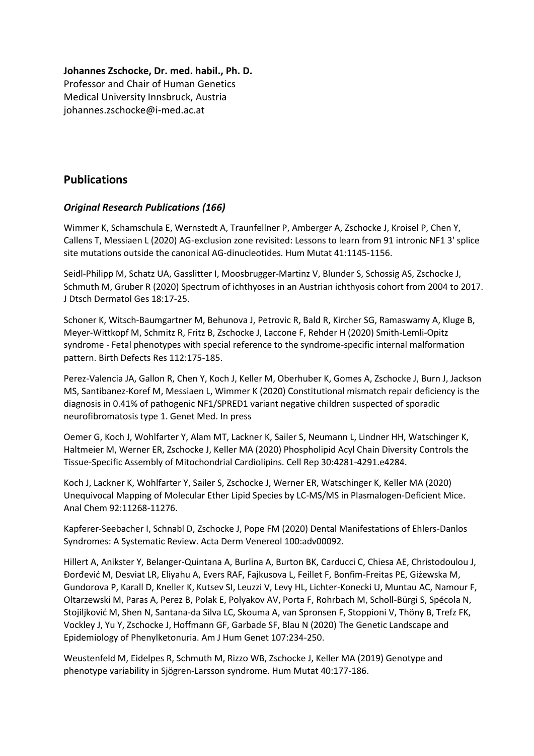### **Johannes Zschocke, Dr. med. habil., Ph. D.**

Professor and Chair of Human Genetics Medical University Innsbruck, Austria johannes.zschocke@i-med.ac.at

# **Publications**

# *Original Research Publications (166)*

Wimmer K, Schamschula E, Wernstedt A, Traunfellner P, Amberger A, Zschocke J, Kroisel P, Chen Y, Callens T, Messiaen L (2020) AG-exclusion zone revisited: Lessons to learn from 91 intronic NF1 3' splice site mutations outside the canonical AG-dinucleotides. Hum Mutat 41:1145-1156.

Seidl-Philipp M, Schatz UA, Gasslitter I, Moosbrugger-Martinz V, Blunder S, Schossig AS, Zschocke J, Schmuth M, Gruber R (2020) Spectrum of ichthyoses in an Austrian ichthyosis cohort from 2004 to 2017. J Dtsch Dermatol Ges 18:17-25.

Schoner K, Witsch-Baumgartner M, Behunova J, Petrovic R, Bald R, Kircher SG, Ramaswamy A, Kluge B, Meyer-Wittkopf M, Schmitz R, Fritz B, Zschocke J, Laccone F, Rehder H (2020) Smith-Lemli-Opitz syndrome - Fetal phenotypes with special reference to the syndrome-specific internal malformation pattern. Birth Defects Res 112:175-185.

Perez-Valencia JA, Gallon R, Chen Y, Koch J, Keller M, Oberhuber K, Gomes A, Zschocke J, Burn J, Jackson MS, Santibanez-Koref M, Messiaen L, Wimmer K (2020) Constitutional mismatch repair deficiency is the diagnosis in 0.41% of pathogenic NF1/SPRED1 variant negative children suspected of sporadic neurofibromatosis type 1. Genet Med. In press

Oemer G, Koch J, Wohlfarter Y, Alam MT, Lackner K, Sailer S, Neumann L, Lindner HH, Watschinger K, Haltmeier M, Werner ER, Zschocke J, Keller MA (2020) Phospholipid Acyl Chain Diversity Controls the Tissue-Specific Assembly of Mitochondrial Cardiolipins. Cell Rep 30:4281-4291.e4284.

Koch J, Lackner K, Wohlfarter Y, Sailer S, Zschocke J, Werner ER, Watschinger K, Keller MA (2020) Unequivocal Mapping of Molecular Ether Lipid Species by LC-MS/MS in Plasmalogen-Deficient Mice. Anal Chem 92:11268-11276.

Kapferer-Seebacher I, Schnabl D, Zschocke J, Pope FM (2020) Dental Manifestations of Ehlers-Danlos Syndromes: A Systematic Review. Acta Derm Venereol 100:adv00092.

Hillert A, Anikster Y, Belanger-Quintana A, Burlina A, Burton BK, Carducci C, Chiesa AE, Christodoulou J, Đorđević M, Desviat LR, Eliyahu A, Evers RAF, Fajkusova L, Feillet F, Bonfim-Freitas PE, Giżewska M, Gundorova P, Karall D, Kneller K, Kutsev SI, Leuzzi V, Levy HL, Lichter-Konecki U, Muntau AC, Namour F, Oltarzewski M, Paras A, Perez B, Polak E, Polyakov AV, Porta F, Rohrbach M, Scholl-Bürgi S, Spécola N, Stojiljković M, Shen N, Santana-da Silva LC, Skouma A, van Spronsen F, Stoppioni V, Thöny B, Trefz FK, Vockley J, Yu Y, Zschocke J, Hoffmann GF, Garbade SF, Blau N (2020) The Genetic Landscape and Epidemiology of Phenylketonuria. Am J Hum Genet 107:234-250.

Weustenfeld M, Eidelpes R, Schmuth M, Rizzo WB, Zschocke J, Keller MA (2019) Genotype and phenotype variability in Sjögren-Larsson syndrome. Hum Mutat 40:177-186.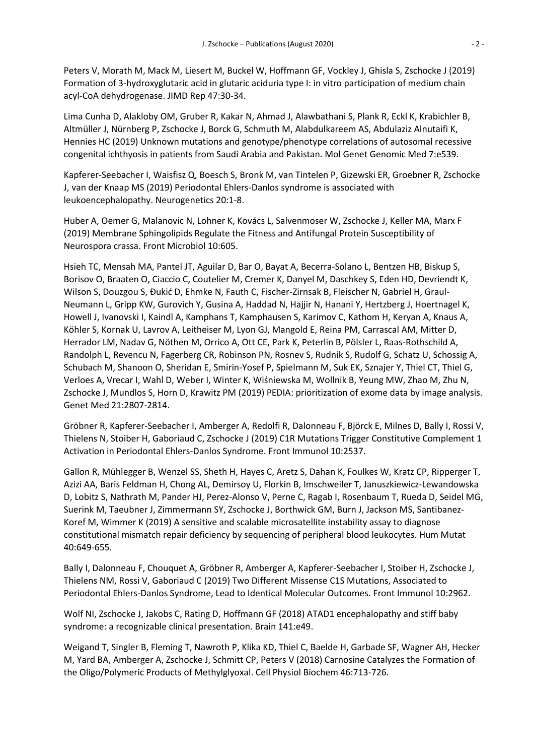Peters V, Morath M, Mack M, Liesert M, Buckel W, Hoffmann GF, Vockley J, Ghisla S, Zschocke J (2019) Formation of 3-hydroxyglutaric acid in glutaric aciduria type I: in vitro participation of medium chain acyl-CoA dehydrogenase. JIMD Rep 47:30-34.

Lima Cunha D, Alakloby OM, Gruber R, Kakar N, Ahmad J, Alawbathani S, Plank R, Eckl K, Krabichler B, Altmüller J, Nürnberg P, Zschocke J, Borck G, Schmuth M, Alabdulkareem AS, Abdulaziz Alnutaifi K, Hennies HC (2019) Unknown mutations and genotype/phenotype correlations of autosomal recessive congenital ichthyosis in patients from Saudi Arabia and Pakistan. Mol Genet Genomic Med 7:e539.

Kapferer-Seebacher I, Waisfisz Q, Boesch S, Bronk M, van Tintelen P, Gizewski ER, Groebner R, Zschocke J, van der Knaap MS (2019) Periodontal Ehlers-Danlos syndrome is associated with leukoencephalopathy. Neurogenetics 20:1-8.

Huber A, Oemer G, Malanovic N, Lohner K, Kovács L, Salvenmoser W, Zschocke J, Keller MA, Marx F (2019) Membrane Sphingolipids Regulate the Fitness and Antifungal Protein Susceptibility of Neurospora crassa. Front Microbiol 10:605.

Hsieh TC, Mensah MA, Pantel JT, Aguilar D, Bar O, Bayat A, Becerra-Solano L, Bentzen HB, Biskup S, Borisov O, Braaten O, Ciaccio C, Coutelier M, Cremer K, Danyel M, Daschkey S, Eden HD, Devriendt K, Wilson S, Douzgou S, Đukić D, Ehmke N, Fauth C, Fischer-Zirnsak B, Fleischer N, Gabriel H, Graul-Neumann L, Gripp KW, Gurovich Y, Gusina A, Haddad N, Hajjir N, Hanani Y, Hertzberg J, Hoertnagel K, Howell J, Ivanovski I, Kaindl A, Kamphans T, Kamphausen S, Karimov C, Kathom H, Keryan A, Knaus A, Köhler S, Kornak U, Lavrov A, Leitheiser M, Lyon GJ, Mangold E, Reina PM, Carrascal AM, Mitter D, Herrador LM, Nadav G, Nöthen M, Orrico A, Ott CE, Park K, Peterlin B, Pölsler L, Raas-Rothschild A, Randolph L, Revencu N, Fagerberg CR, Robinson PN, Rosnev S, Rudnik S, Rudolf G, Schatz U, Schossig A, Schubach M, Shanoon O, Sheridan E, Smirin-Yosef P, Spielmann M, Suk EK, Sznajer Y, Thiel CT, Thiel G, Verloes A, Vrecar I, Wahl D, Weber I, Winter K, Wiśniewska M, Wollnik B, Yeung MW, Zhao M, Zhu N, Zschocke J, Mundlos S, Horn D, Krawitz PM (2019) PEDIA: prioritization of exome data by image analysis. Genet Med 21:2807-2814.

Gröbner R, Kapferer-Seebacher I, Amberger A, Redolfi R, Dalonneau F, Björck E, Milnes D, Bally I, Rossi V, Thielens N, Stoiber H, Gaboriaud C, Zschocke J (2019) C1R Mutations Trigger Constitutive Complement 1 Activation in Periodontal Ehlers-Danlos Syndrome. Front Immunol 10:2537.

Gallon R, Mühlegger B, Wenzel SS, Sheth H, Hayes C, Aretz S, Dahan K, Foulkes W, Kratz CP, Ripperger T, Azizi AA, Baris Feldman H, Chong AL, Demirsoy U, Florkin B, Imschweiler T, Januszkiewicz-Lewandowska D, Lobitz S, Nathrath M, Pander HJ, Perez-Alonso V, Perne C, Ragab I, Rosenbaum T, Rueda D, Seidel MG, Suerink M, Taeubner J, Zimmermann SY, Zschocke J, Borthwick GM, Burn J, Jackson MS, Santibanez-Koref M, Wimmer K (2019) A sensitive and scalable microsatellite instability assay to diagnose constitutional mismatch repair deficiency by sequencing of peripheral blood leukocytes. Hum Mutat 40:649-655.

Bally I, Dalonneau F, Chouquet A, Gröbner R, Amberger A, Kapferer-Seebacher I, Stoiber H, Zschocke J, Thielens NM, Rossi V, Gaboriaud C (2019) Two Different Missense C1S Mutations, Associated to Periodontal Ehlers-Danlos Syndrome, Lead to Identical Molecular Outcomes. Front Immunol 10:2962.

Wolf NI, Zschocke J, Jakobs C, Rating D, Hoffmann GF (2018) ATAD1 encephalopathy and stiff baby syndrome: a recognizable clinical presentation. Brain 141:e49.

Weigand T, Singler B, Fleming T, Nawroth P, Klika KD, Thiel C, Baelde H, Garbade SF, Wagner AH, Hecker M, Yard BA, Amberger A, Zschocke J, Schmitt CP, Peters V (2018) Carnosine Catalyzes the Formation of the Oligo/Polymeric Products of Methylglyoxal. Cell Physiol Biochem 46:713-726.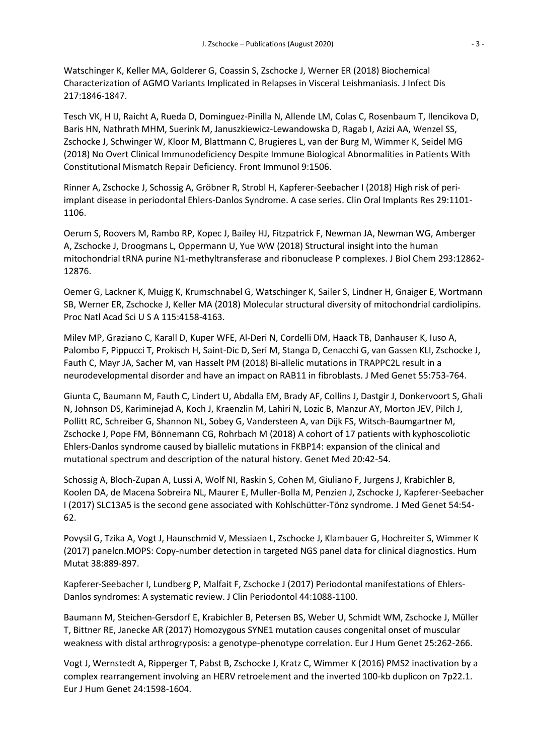Watschinger K, Keller MA, Golderer G, Coassin S, Zschocke J, Werner ER (2018) Biochemical Characterization of AGMO Variants Implicated in Relapses in Visceral Leishmaniasis. J Infect Dis 217:1846-1847.

Tesch VK, H IJ, Raicht A, Rueda D, Dominguez-Pinilla N, Allende LM, Colas C, Rosenbaum T, Ilencikova D, Baris HN, Nathrath MHM, Suerink M, Januszkiewicz-Lewandowska D, Ragab I, Azizi AA, Wenzel SS, Zschocke J, Schwinger W, Kloor M, Blattmann C, Brugieres L, van der Burg M, Wimmer K, Seidel MG (2018) No Overt Clinical Immunodeficiency Despite Immune Biological Abnormalities in Patients With Constitutional Mismatch Repair Deficiency. Front Immunol 9:1506.

Rinner A, Zschocke J, Schossig A, Gröbner R, Strobl H, Kapferer-Seebacher I (2018) High risk of periimplant disease in periodontal Ehlers-Danlos Syndrome. A case series. Clin Oral Implants Res 29:1101- 1106.

Oerum S, Roovers M, Rambo RP, Kopec J, Bailey HJ, Fitzpatrick F, Newman JA, Newman WG, Amberger A, Zschocke J, Droogmans L, Oppermann U, Yue WW (2018) Structural insight into the human mitochondrial tRNA purine N1-methyltransferase and ribonuclease P complexes. J Biol Chem 293:12862- 12876.

Oemer G, Lackner K, Muigg K, Krumschnabel G, Watschinger K, Sailer S, Lindner H, Gnaiger E, Wortmann SB, Werner ER, Zschocke J, Keller MA (2018) Molecular structural diversity of mitochondrial cardiolipins. Proc Natl Acad Sci U S A 115:4158-4163.

Milev MP, Graziano C, Karall D, Kuper WFE, Al-Deri N, Cordelli DM, Haack TB, Danhauser K, Iuso A, Palombo F, Pippucci T, Prokisch H, Saint-Dic D, Seri M, Stanga D, Cenacchi G, van Gassen KLI, Zschocke J, Fauth C, Mayr JA, Sacher M, van Hasselt PM (2018) Bi-allelic mutations in TRAPPC2L result in a neurodevelopmental disorder and have an impact on RAB11 in fibroblasts. J Med Genet 55:753-764.

Giunta C, Baumann M, Fauth C, Lindert U, Abdalla EM, Brady AF, Collins J, Dastgir J, Donkervoort S, Ghali N, Johnson DS, Kariminejad A, Koch J, Kraenzlin M, Lahiri N, Lozic B, Manzur AY, Morton JEV, Pilch J, Pollitt RC, Schreiber G, Shannon NL, Sobey G, Vandersteen A, van Dijk FS, Witsch-Baumgartner M, Zschocke J, Pope FM, Bönnemann CG, Rohrbach M (2018) A cohort of 17 patients with kyphoscoliotic Ehlers-Danlos syndrome caused by biallelic mutations in FKBP14: expansion of the clinical and mutational spectrum and description of the natural history. Genet Med 20:42-54.

Schossig A, Bloch-Zupan A, Lussi A, Wolf NI, Raskin S, Cohen M, Giuliano F, Jurgens J, Krabichler B, Koolen DA, de Macena Sobreira NL, Maurer E, Muller-Bolla M, Penzien J, Zschocke J, Kapferer-Seebacher I (2017) SLC13A5 is the second gene associated with Kohlschütter-Tönz syndrome. J Med Genet 54:54- 62.

Povysil G, Tzika A, Vogt J, Haunschmid V, Messiaen L, Zschocke J, Klambauer G, Hochreiter S, Wimmer K (2017) panelcn.MOPS: Copy-number detection in targeted NGS panel data for clinical diagnostics. Hum Mutat 38:889-897.

Kapferer-Seebacher I, Lundberg P, Malfait F, Zschocke J (2017) Periodontal manifestations of Ehlers-Danlos syndromes: A systematic review. J Clin Periodontol 44:1088-1100.

Baumann M, Steichen-Gersdorf E, Krabichler B, Petersen BS, Weber U, Schmidt WM, Zschocke J, Müller T, Bittner RE, Janecke AR (2017) Homozygous SYNE1 mutation causes congenital onset of muscular weakness with distal arthrogryposis: a genotype-phenotype correlation. Eur J Hum Genet 25:262-266.

Vogt J, Wernstedt A, Ripperger T, Pabst B, Zschocke J, Kratz C, Wimmer K (2016) PMS2 inactivation by a complex rearrangement involving an HERV retroelement and the inverted 100-kb duplicon on 7p22.1. Eur J Hum Genet 24:1598-1604.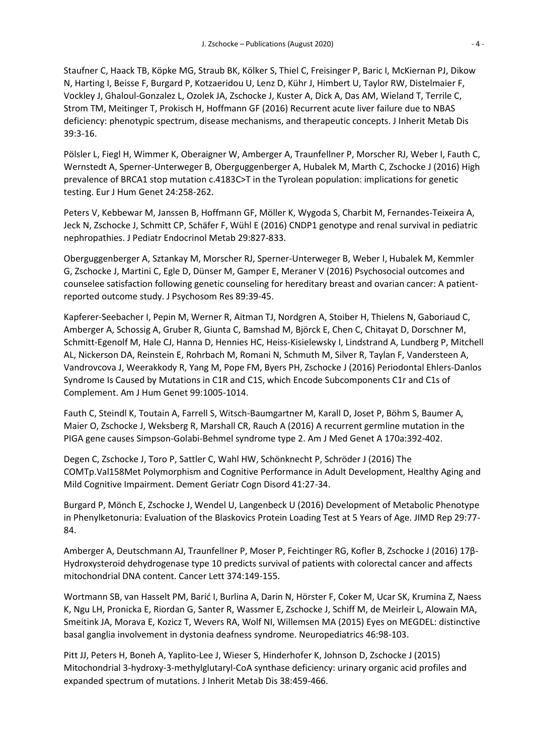Staufner C, Haack TB, Köpke MG, Straub BK, Kölker S, Thiel C, Freisinger P, Baric I, McKiernan PJ, Dikow N, Harting I, Beisse F, Burgard P, Kotzaeridou U, Lenz D, Kühr J, Himbert U, Taylor RW, Distelmaier F, Vockley J, Ghaloul-Gonzalez L, Ozolek JA, Zschocke J, Kuster A, Dick A, Das AM, Wieland T, Terrile C, Strom TM, Meitinger T, Prokisch H, Hoffmann GF (2016) Recurrent acute liver failure due to NBAS deficiency: phenotypic spectrum, disease mechanisms, and therapeutic concepts. J Inherit Metab Dis 39:3-16.

Pölsler L, Fiegl H, Wimmer K, Oberaigner W, Amberger A, Traunfellner P, Morscher RJ, Weber I, Fauth C, Wernstedt A, Sperner-Unterweger B, Oberguggenberger A, Hubalek M, Marth C, Zschocke J (2016) High prevalence of BRCA1 stop mutation c.4183C>T in the Tyrolean population: implications for genetic testing. Eur J Hum Genet 24:258-262.

Peters V, Kebbewar M, Janssen B, Hoffmann GF, Möller K, Wygoda S, Charbit M, Fernandes-Teixeira A, Jeck N, Zschocke J, Schmitt CP, Schäfer F, Wühl E (2016) CNDP1 genotype and renal survival in pediatric nephropathies. J Pediatr Endocrinol Metab 29:827-833.

Oberguggenberger A, Sztankay M, Morscher RJ, Sperner-Unterweger B, Weber I, Hubalek M, Kemmler G, Zschocke J, Martini C, Egle D, Dünser M, Gamper E, Meraner V (2016) Psychosocial outcomes and counselee satisfaction following genetic counseling for hereditary breast and ovarian cancer: A patientreported outcome study. J Psychosom Res 89:39-45.

Kapferer-Seebacher I, Pepin M, Werner R, Aitman TJ, Nordgren A, Stoiber H, Thielens N, Gaboriaud C, Amberger A, Schossig A, Gruber R, Giunta C, Bamshad M, Björck E, Chen C, Chitayat D, Dorschner M, Schmitt-Egenolf M, Hale CJ, Hanna D, Hennies HC, Heiss-Kisielewsky I, Lindstrand A, Lundberg P, Mitchell AL, Nickerson DA, Reinstein E, Rohrbach M, Romani N, Schmuth M, Silver R, Taylan F, Vandersteen A, Vandrovcova J, Weerakkody R, Yang M, Pope FM, Byers PH, Zschocke J (2016) Periodontal Ehlers-Danlos Syndrome Is Caused by Mutations in C1R and C1S, which Encode Subcomponents C1r and C1s of Complement. Am J Hum Genet 99:1005-1014.

Fauth C, Steindl K, Toutain A, Farrell S, Witsch-Baumgartner M, Karall D, Joset P, Böhm S, Baumer A, Maier O, Zschocke J, Weksberg R, Marshall CR, Rauch A (2016) A recurrent germline mutation in the PIGA gene causes Simpson-Golabi-Behmel syndrome type 2. Am J Med Genet A 170a:392-402.

Degen C, Zschocke J, Toro P, Sattler C, Wahl HW, Schönknecht P, Schröder J (2016) The COMTp.Val158Met Polymorphism and Cognitive Performance in Adult Development, Healthy Aging and Mild Cognitive Impairment. Dement Geriatr Cogn Disord 41:27-34.

Burgard P, Mönch E, Zschocke J, Wendel U, Langenbeck U (2016) Development of Metabolic Phenotype in Phenylketonuria: Evaluation of the Blaskovics Protein Loading Test at 5 Years of Age. JIMD Rep 29:77- 84.

Amberger A, Deutschmann AJ, Traunfellner P, Moser P, Feichtinger RG, Kofler B, Zschocke J (2016) 17β-Hydroxysteroid dehydrogenase type 10 predicts survival of patients with colorectal cancer and affects mitochondrial DNA content. Cancer Lett 374:149-155.

Wortmann SB, van Hasselt PM, Barić I, Burlina A, Darin N, Hörster F, Coker M, Ucar SK, Krumina Z, Naess K, Ngu LH, Pronicka E, Riordan G, Santer R, Wassmer E, Zschocke J, Schiff M, de Meirleir L, Alowain MA, Smeitink JA, Morava E, Kozicz T, Wevers RA, Wolf NI, Willemsen MA (2015) Eyes on MEGDEL: distinctive basal ganglia involvement in dystonia deafness syndrome. Neuropediatrics 46:98-103.

Pitt JJ, Peters H, Boneh A, Yaplito-Lee J, Wieser S, Hinderhofer K, Johnson D, Zschocke J (2015) Mitochondrial 3-hydroxy-3-methylglutaryl-CoA synthase deficiency: urinary organic acid profiles and expanded spectrum of mutations. J Inherit Metab Dis 38:459-466.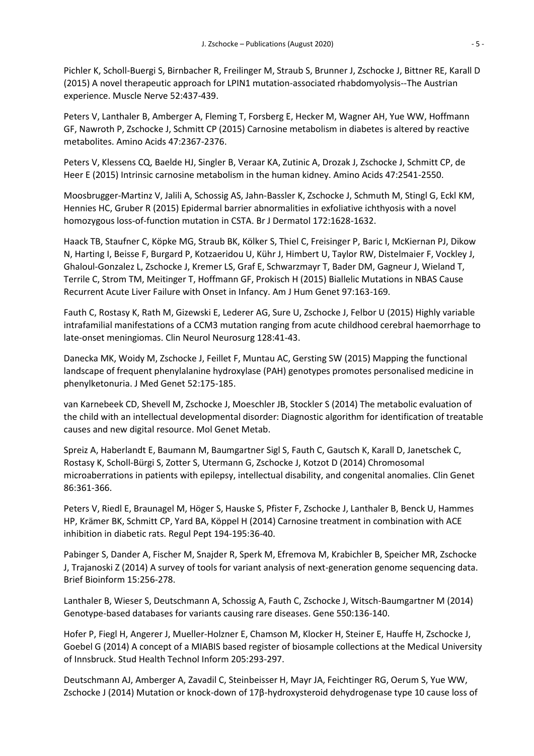Pichler K, Scholl-Buergi S, Birnbacher R, Freilinger M, Straub S, Brunner J, Zschocke J, Bittner RE, Karall D (2015) A novel therapeutic approach for LPIN1 mutation-associated rhabdomyolysis--The Austrian experience. Muscle Nerve 52:437-439.

Peters V, Lanthaler B, Amberger A, Fleming T, Forsberg E, Hecker M, Wagner AH, Yue WW, Hoffmann GF, Nawroth P, Zschocke J, Schmitt CP (2015) Carnosine metabolism in diabetes is altered by reactive metabolites. Amino Acids 47:2367-2376.

Peters V, Klessens CQ, Baelde HJ, Singler B, Veraar KA, Zutinic A, Drozak J, Zschocke J, Schmitt CP, de Heer E (2015) Intrinsic carnosine metabolism in the human kidney. Amino Acids 47:2541-2550.

Moosbrugger-Martinz V, Jalili A, Schossig AS, Jahn-Bassler K, Zschocke J, Schmuth M, Stingl G, Eckl KM, Hennies HC, Gruber R (2015) Epidermal barrier abnormalities in exfoliative ichthyosis with a novel homozygous loss-of-function mutation in CSTA. Br J Dermatol 172:1628-1632.

Haack TB, Staufner C, Köpke MG, Straub BK, Kölker S, Thiel C, Freisinger P, Baric I, McKiernan PJ, Dikow N, Harting I, Beisse F, Burgard P, Kotzaeridou U, Kühr J, Himbert U, Taylor RW, Distelmaier F, Vockley J, Ghaloul-Gonzalez L, Zschocke J, Kremer LS, Graf E, Schwarzmayr T, Bader DM, Gagneur J, Wieland T, Terrile C, Strom TM, Meitinger T, Hoffmann GF, Prokisch H (2015) Biallelic Mutations in NBAS Cause Recurrent Acute Liver Failure with Onset in Infancy. Am J Hum Genet 97:163-169.

Fauth C, Rostasy K, Rath M, Gizewski E, Lederer AG, Sure U, Zschocke J, Felbor U (2015) Highly variable intrafamilial manifestations of a CCM3 mutation ranging from acute childhood cerebral haemorrhage to late-onset meningiomas. Clin Neurol Neurosurg 128:41-43.

Danecka MK, Woidy M, Zschocke J, Feillet F, Muntau AC, Gersting SW (2015) Mapping the functional landscape of frequent phenylalanine hydroxylase (PAH) genotypes promotes personalised medicine in phenylketonuria. J Med Genet 52:175-185.

van Karnebeek CD, Shevell M, Zschocke J, Moeschler JB, Stockler S (2014) The metabolic evaluation of the child with an intellectual developmental disorder: Diagnostic algorithm for identification of treatable causes and new digital resource. Mol Genet Metab.

Spreiz A, Haberlandt E, Baumann M, Baumgartner Sigl S, Fauth C, Gautsch K, Karall D, Janetschek C, Rostasy K, Scholl-Bürgi S, Zotter S, Utermann G, Zschocke J, Kotzot D (2014) Chromosomal microaberrations in patients with epilepsy, intellectual disability, and congenital anomalies. Clin Genet 86:361-366.

Peters V, Riedl E, Braunagel M, Höger S, Hauske S, Pfister F, Zschocke J, Lanthaler B, Benck U, Hammes HP, Krämer BK, Schmitt CP, Yard BA, Köppel H (2014) Carnosine treatment in combination with ACE inhibition in diabetic rats. Regul Pept 194-195:36-40.

Pabinger S, Dander A, Fischer M, Snajder R, Sperk M, Efremova M, Krabichler B, Speicher MR, Zschocke J, Trajanoski Z (2014) A survey of tools for variant analysis of next-generation genome sequencing data. Brief Bioinform 15:256-278.

Lanthaler B, Wieser S, Deutschmann A, Schossig A, Fauth C, Zschocke J, Witsch-Baumgartner M (2014) Genotype-based databases for variants causing rare diseases. Gene 550:136-140.

Hofer P, Fiegl H, Angerer J, Mueller-Holzner E, Chamson M, Klocker H, Steiner E, Hauffe H, Zschocke J, Goebel G (2014) A concept of a MIABIS based register of biosample collections at the Medical University of Innsbruck. Stud Health Technol Inform 205:293-297.

Deutschmann AJ, Amberger A, Zavadil C, Steinbeisser H, Mayr JA, Feichtinger RG, Oerum S, Yue WW, Zschocke J (2014) Mutation or knock-down of 17β-hydroxysteroid dehydrogenase type 10 cause loss of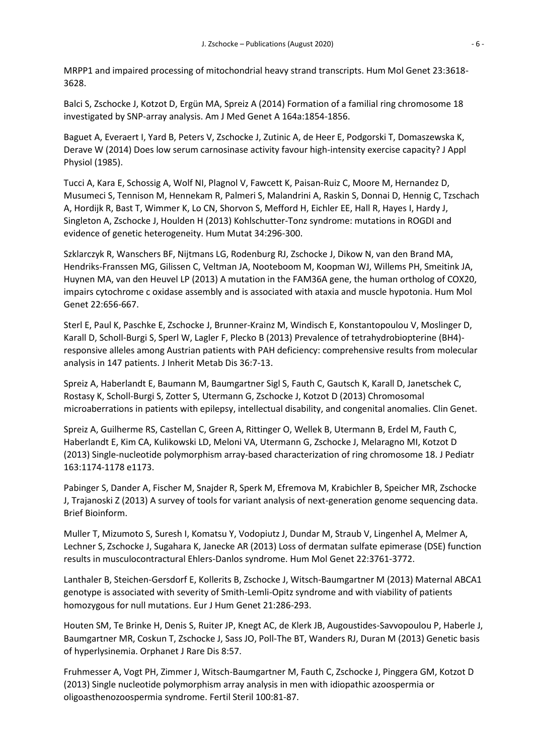MRPP1 and impaired processing of mitochondrial heavy strand transcripts. Hum Mol Genet 23:3618- 3628.

Balci S, Zschocke J, Kotzot D, Ergün MA, Spreiz A (2014) Formation of a familial ring chromosome 18 investigated by SNP-array analysis. Am J Med Genet A 164a:1854-1856.

Baguet A, Everaert I, Yard B, Peters V, Zschocke J, Zutinic A, de Heer E, Podgorski T, Domaszewska K, Derave W (2014) Does low serum carnosinase activity favour high-intensity exercise capacity? J Appl Physiol (1985).

Tucci A, Kara E, Schossig A, Wolf NI, Plagnol V, Fawcett K, Paisan-Ruiz C, Moore M, Hernandez D, Musumeci S, Tennison M, Hennekam R, Palmeri S, Malandrini A, Raskin S, Donnai D, Hennig C, Tzschach A, Hordijk R, Bast T, Wimmer K, Lo CN, Shorvon S, Mefford H, Eichler EE, Hall R, Hayes I, Hardy J, Singleton A, Zschocke J, Houlden H (2013) Kohlschutter-Tonz syndrome: mutations in ROGDI and evidence of genetic heterogeneity. Hum Mutat 34:296-300.

Szklarczyk R, Wanschers BF, Nijtmans LG, Rodenburg RJ, Zschocke J, Dikow N, van den Brand MA, Hendriks-Franssen MG, Gilissen C, Veltman JA, Nooteboom M, Koopman WJ, Willems PH, Smeitink JA, Huynen MA, van den Heuvel LP (2013) A mutation in the FAM36A gene, the human ortholog of COX20, impairs cytochrome c oxidase assembly and is associated with ataxia and muscle hypotonia. Hum Mol Genet 22:656-667.

Sterl E, Paul K, Paschke E, Zschocke J, Brunner-Krainz M, Windisch E, Konstantopoulou V, Moslinger D, Karall D, Scholl-Burgi S, Sperl W, Lagler F, Plecko B (2013) Prevalence of tetrahydrobiopterine (BH4) responsive alleles among Austrian patients with PAH deficiency: comprehensive results from molecular analysis in 147 patients. J Inherit Metab Dis 36:7-13.

Spreiz A, Haberlandt E, Baumann M, Baumgartner Sigl S, Fauth C, Gautsch K, Karall D, Janetschek C, Rostasy K, Scholl-Burgi S, Zotter S, Utermann G, Zschocke J, Kotzot D (2013) Chromosomal microaberrations in patients with epilepsy, intellectual disability, and congenital anomalies. Clin Genet.

Spreiz A, Guilherme RS, Castellan C, Green A, Rittinger O, Wellek B, Utermann B, Erdel M, Fauth C, Haberlandt E, Kim CA, Kulikowski LD, Meloni VA, Utermann G, Zschocke J, Melaragno MI, Kotzot D (2013) Single-nucleotide polymorphism array-based characterization of ring chromosome 18. J Pediatr 163:1174-1178 e1173.

Pabinger S, Dander A, Fischer M, Snajder R, Sperk M, Efremova M, Krabichler B, Speicher MR, Zschocke J, Trajanoski Z (2013) A survey of tools for variant analysis of next-generation genome sequencing data. Brief Bioinform.

Muller T, Mizumoto S, Suresh I, Komatsu Y, Vodopiutz J, Dundar M, Straub V, Lingenhel A, Melmer A, Lechner S, Zschocke J, Sugahara K, Janecke AR (2013) Loss of dermatan sulfate epimerase (DSE) function results in musculocontractural Ehlers-Danlos syndrome. Hum Mol Genet 22:3761-3772.

Lanthaler B, Steichen-Gersdorf E, Kollerits B, Zschocke J, Witsch-Baumgartner M (2013) Maternal ABCA1 genotype is associated with severity of Smith-Lemli-Opitz syndrome and with viability of patients homozygous for null mutations. Eur J Hum Genet 21:286-293.

Houten SM, Te Brinke H, Denis S, Ruiter JP, Knegt AC, de Klerk JB, Augoustides-Savvopoulou P, Haberle J, Baumgartner MR, Coskun T, Zschocke J, Sass JO, Poll-The BT, Wanders RJ, Duran M (2013) Genetic basis of hyperlysinemia. Orphanet J Rare Dis 8:57.

Fruhmesser A, Vogt PH, Zimmer J, Witsch-Baumgartner M, Fauth C, Zschocke J, Pinggera GM, Kotzot D (2013) Single nucleotide polymorphism array analysis in men with idiopathic azoospermia or oligoasthenozoospermia syndrome. Fertil Steril 100:81-87.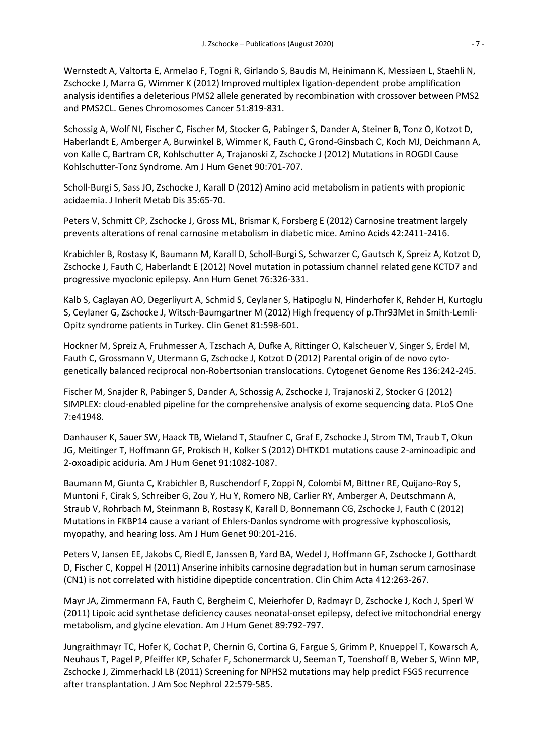Wernstedt A, Valtorta E, Armelao F, Togni R, Girlando S, Baudis M, Heinimann K, Messiaen L, Staehli N, Zschocke J, Marra G, Wimmer K (2012) Improved multiplex ligation-dependent probe amplification analysis identifies a deleterious PMS2 allele generated by recombination with crossover between PMS2 and PMS2CL. Genes Chromosomes Cancer 51:819-831.

Schossig A, Wolf NI, Fischer C, Fischer M, Stocker G, Pabinger S, Dander A, Steiner B, Tonz O, Kotzot D, Haberlandt E, Amberger A, Burwinkel B, Wimmer K, Fauth C, Grond-Ginsbach C, Koch MJ, Deichmann A, von Kalle C, Bartram CR, Kohlschutter A, Trajanoski Z, Zschocke J (2012) Mutations in ROGDI Cause Kohlschutter-Tonz Syndrome. Am J Hum Genet 90:701-707.

Scholl-Burgi S, Sass JO, Zschocke J, Karall D (2012) Amino acid metabolism in patients with propionic acidaemia. J Inherit Metab Dis 35:65-70.

Peters V, Schmitt CP, Zschocke J, Gross ML, Brismar K, Forsberg E (2012) Carnosine treatment largely prevents alterations of renal carnosine metabolism in diabetic mice. Amino Acids 42:2411-2416.

Krabichler B, Rostasy K, Baumann M, Karall D, Scholl-Burgi S, Schwarzer C, Gautsch K, Spreiz A, Kotzot D, Zschocke J, Fauth C, Haberlandt E (2012) Novel mutation in potassium channel related gene KCTD7 and progressive myoclonic epilepsy. Ann Hum Genet 76:326-331.

Kalb S, Caglayan AO, Degerliyurt A, Schmid S, Ceylaner S, Hatipoglu N, Hinderhofer K, Rehder H, Kurtoglu S, Ceylaner G, Zschocke J, Witsch-Baumgartner M (2012) High frequency of p.Thr93Met in Smith-Lemli-Opitz syndrome patients in Turkey. Clin Genet 81:598-601.

Hockner M, Spreiz A, Fruhmesser A, Tzschach A, Dufke A, Rittinger O, Kalscheuer V, Singer S, Erdel M, Fauth C, Grossmann V, Utermann G, Zschocke J, Kotzot D (2012) Parental origin of de novo cytogenetically balanced reciprocal non-Robertsonian translocations. Cytogenet Genome Res 136:242-245.

Fischer M, Snajder R, Pabinger S, Dander A, Schossig A, Zschocke J, Trajanoski Z, Stocker G (2012) SIMPLEX: cloud-enabled pipeline for the comprehensive analysis of exome sequencing data. PLoS One 7:e41948.

Danhauser K, Sauer SW, Haack TB, Wieland T, Staufner C, Graf E, Zschocke J, Strom TM, Traub T, Okun JG, Meitinger T, Hoffmann GF, Prokisch H, Kolker S (2012) DHTKD1 mutations cause 2-aminoadipic and 2-oxoadipic aciduria. Am J Hum Genet 91:1082-1087.

Baumann M, Giunta C, Krabichler B, Ruschendorf F, Zoppi N, Colombi M, Bittner RE, Quijano-Roy S, Muntoni F, Cirak S, Schreiber G, Zou Y, Hu Y, Romero NB, Carlier RY, Amberger A, Deutschmann A, Straub V, Rohrbach M, Steinmann B, Rostasy K, Karall D, Bonnemann CG, Zschocke J, Fauth C (2012) Mutations in FKBP14 cause a variant of Ehlers-Danlos syndrome with progressive kyphoscoliosis, myopathy, and hearing loss. Am J Hum Genet 90:201-216.

Peters V, Jansen EE, Jakobs C, Riedl E, Janssen B, Yard BA, Wedel J, Hoffmann GF, Zschocke J, Gotthardt D, Fischer C, Koppel H (2011) Anserine inhibits carnosine degradation but in human serum carnosinase (CN1) is not correlated with histidine dipeptide concentration. Clin Chim Acta 412:263-267.

Mayr JA, Zimmermann FA, Fauth C, Bergheim C, Meierhofer D, Radmayr D, Zschocke J, Koch J, Sperl W (2011) Lipoic acid synthetase deficiency causes neonatal-onset epilepsy, defective mitochondrial energy metabolism, and glycine elevation. Am J Hum Genet 89:792-797.

Jungraithmayr TC, Hofer K, Cochat P, Chernin G, Cortina G, Fargue S, Grimm P, Knueppel T, Kowarsch A, Neuhaus T, Pagel P, Pfeiffer KP, Schafer F, Schonermarck U, Seeman T, Toenshoff B, Weber S, Winn MP, Zschocke J, Zimmerhackl LB (2011) Screening for NPHS2 mutations may help predict FSGS recurrence after transplantation. J Am Soc Nephrol 22:579-585.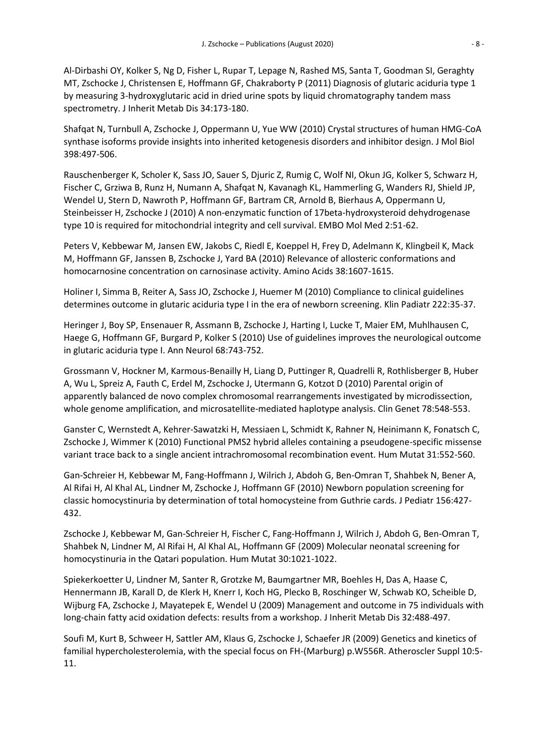Al-Dirbashi OY, Kolker S, Ng D, Fisher L, Rupar T, Lepage N, Rashed MS, Santa T, Goodman SI, Geraghty MT, Zschocke J, Christensen E, Hoffmann GF, Chakraborty P (2011) Diagnosis of glutaric aciduria type 1 by measuring 3-hydroxyglutaric acid in dried urine spots by liquid chromatography tandem mass spectrometry. J Inherit Metab Dis 34:173-180.

Shafqat N, Turnbull A, Zschocke J, Oppermann U, Yue WW (2010) Crystal structures of human HMG-CoA synthase isoforms provide insights into inherited ketogenesis disorders and inhibitor design. J Mol Biol 398:497-506.

Rauschenberger K, Scholer K, Sass JO, Sauer S, Djuric Z, Rumig C, Wolf NI, Okun JG, Kolker S, Schwarz H, Fischer C, Grziwa B, Runz H, Numann A, Shafqat N, Kavanagh KL, Hammerling G, Wanders RJ, Shield JP, Wendel U, Stern D, Nawroth P, Hoffmann GF, Bartram CR, Arnold B, Bierhaus A, Oppermann U, Steinbeisser H, Zschocke J (2010) A non-enzymatic function of 17beta-hydroxysteroid dehydrogenase type 10 is required for mitochondrial integrity and cell survival. EMBO Mol Med 2:51-62.

Peters V, Kebbewar M, Jansen EW, Jakobs C, Riedl E, Koeppel H, Frey D, Adelmann K, Klingbeil K, Mack M, Hoffmann GF, Janssen B, Zschocke J, Yard BA (2010) Relevance of allosteric conformations and homocarnosine concentration on carnosinase activity. Amino Acids 38:1607-1615.

Holiner I, Simma B, Reiter A, Sass JO, Zschocke J, Huemer M (2010) Compliance to clinical guidelines determines outcome in glutaric aciduria type I in the era of newborn screening. Klin Padiatr 222:35-37.

Heringer J, Boy SP, Ensenauer R, Assmann B, Zschocke J, Harting I, Lucke T, Maier EM, Muhlhausen C, Haege G, Hoffmann GF, Burgard P, Kolker S (2010) Use of guidelines improves the neurological outcome in glutaric aciduria type I. Ann Neurol 68:743-752.

Grossmann V, Hockner M, Karmous-Benailly H, Liang D, Puttinger R, Quadrelli R, Rothlisberger B, Huber A, Wu L, Spreiz A, Fauth C, Erdel M, Zschocke J, Utermann G, Kotzot D (2010) Parental origin of apparently balanced de novo complex chromosomal rearrangements investigated by microdissection, whole genome amplification, and microsatellite-mediated haplotype analysis. Clin Genet 78:548-553.

Ganster C, Wernstedt A, Kehrer-Sawatzki H, Messiaen L, Schmidt K, Rahner N, Heinimann K, Fonatsch C, Zschocke J, Wimmer K (2010) Functional PMS2 hybrid alleles containing a pseudogene-specific missense variant trace back to a single ancient intrachromosomal recombination event. Hum Mutat 31:552-560.

Gan-Schreier H, Kebbewar M, Fang-Hoffmann J, Wilrich J, Abdoh G, Ben-Omran T, Shahbek N, Bener A, Al Rifai H, Al Khal AL, Lindner M, Zschocke J, Hoffmann GF (2010) Newborn population screening for classic homocystinuria by determination of total homocysteine from Guthrie cards. J Pediatr 156:427- 432.

Zschocke J, Kebbewar M, Gan-Schreier H, Fischer C, Fang-Hoffmann J, Wilrich J, Abdoh G, Ben-Omran T, Shahbek N, Lindner M, Al Rifai H, Al Khal AL, Hoffmann GF (2009) Molecular neonatal screening for homocystinuria in the Qatari population. Hum Mutat 30:1021-1022.

Spiekerkoetter U, Lindner M, Santer R, Grotzke M, Baumgartner MR, Boehles H, Das A, Haase C, Hennermann JB, Karall D, de Klerk H, Knerr I, Koch HG, Plecko B, Roschinger W, Schwab KO, Scheible D, Wijburg FA, Zschocke J, Mayatepek E, Wendel U (2009) Management and outcome in 75 individuals with long-chain fatty acid oxidation defects: results from a workshop. J Inherit Metab Dis 32:488-497.

Soufi M, Kurt B, Schweer H, Sattler AM, Klaus G, Zschocke J, Schaefer JR (2009) Genetics and kinetics of familial hypercholesterolemia, with the special focus on FH-(Marburg) p.W556R. Atheroscler Suppl 10:5- 11.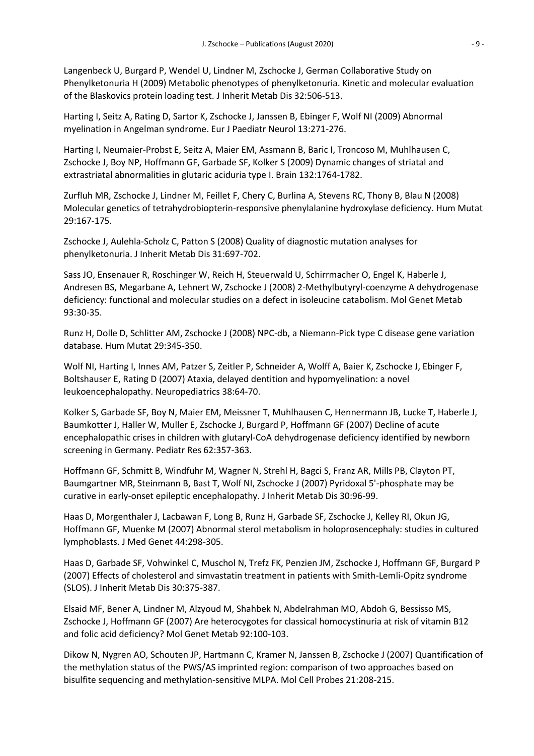Langenbeck U, Burgard P, Wendel U, Lindner M, Zschocke J, German Collaborative Study on Phenylketonuria H (2009) Metabolic phenotypes of phenylketonuria. Kinetic and molecular evaluation of the Blaskovics protein loading test. J Inherit Metab Dis 32:506-513.

Harting I, Seitz A, Rating D, Sartor K, Zschocke J, Janssen B, Ebinger F, Wolf NI (2009) Abnormal myelination in Angelman syndrome. Eur J Paediatr Neurol 13:271-276.

Harting I, Neumaier-Probst E, Seitz A, Maier EM, Assmann B, Baric I, Troncoso M, Muhlhausen C, Zschocke J, Boy NP, Hoffmann GF, Garbade SF, Kolker S (2009) Dynamic changes of striatal and extrastriatal abnormalities in glutaric aciduria type I. Brain 132:1764-1782.

Zurfluh MR, Zschocke J, Lindner M, Feillet F, Chery C, Burlina A, Stevens RC, Thony B, Blau N (2008) Molecular genetics of tetrahydrobiopterin-responsive phenylalanine hydroxylase deficiency. Hum Mutat 29:167-175.

Zschocke J, Aulehla-Scholz C, Patton S (2008) Quality of diagnostic mutation analyses for phenylketonuria. J Inherit Metab Dis 31:697-702.

Sass JO, Ensenauer R, Roschinger W, Reich H, Steuerwald U, Schirrmacher O, Engel K, Haberle J, Andresen BS, Megarbane A, Lehnert W, Zschocke J (2008) 2-Methylbutyryl-coenzyme A dehydrogenase deficiency: functional and molecular studies on a defect in isoleucine catabolism. Mol Genet Metab 93:30-35.

Runz H, Dolle D, Schlitter AM, Zschocke J (2008) NPC-db, a Niemann-Pick type C disease gene variation database. Hum Mutat 29:345-350.

Wolf NI, Harting I, Innes AM, Patzer S, Zeitler P, Schneider A, Wolff A, Baier K, Zschocke J, Ebinger F, Boltshauser E, Rating D (2007) Ataxia, delayed dentition and hypomyelination: a novel leukoencephalopathy. Neuropediatrics 38:64-70.

Kolker S, Garbade SF, Boy N, Maier EM, Meissner T, Muhlhausen C, Hennermann JB, Lucke T, Haberle J, Baumkotter J, Haller W, Muller E, Zschocke J, Burgard P, Hoffmann GF (2007) Decline of acute encephalopathic crises in children with glutaryl-CoA dehydrogenase deficiency identified by newborn screening in Germany. Pediatr Res 62:357-363.

Hoffmann GF, Schmitt B, Windfuhr M, Wagner N, Strehl H, Bagci S, Franz AR, Mills PB, Clayton PT, Baumgartner MR, Steinmann B, Bast T, Wolf NI, Zschocke J (2007) Pyridoxal 5'-phosphate may be curative in early-onset epileptic encephalopathy. J Inherit Metab Dis 30:96-99.

Haas D, Morgenthaler J, Lacbawan F, Long B, Runz H, Garbade SF, Zschocke J, Kelley RI, Okun JG, Hoffmann GF, Muenke M (2007) Abnormal sterol metabolism in holoprosencephaly: studies in cultured lymphoblasts. J Med Genet 44:298-305.

Haas D, Garbade SF, Vohwinkel C, Muschol N, Trefz FK, Penzien JM, Zschocke J, Hoffmann GF, Burgard P (2007) Effects of cholesterol and simvastatin treatment in patients with Smith-Lemli-Opitz syndrome (SLOS). J Inherit Metab Dis 30:375-387.

Elsaid MF, Bener A, Lindner M, Alzyoud M, Shahbek N, Abdelrahman MO, Abdoh G, Bessisso MS, Zschocke J, Hoffmann GF (2007) Are heterocygotes for classical homocystinuria at risk of vitamin B12 and folic acid deficiency? Mol Genet Metab 92:100-103.

Dikow N, Nygren AO, Schouten JP, Hartmann C, Kramer N, Janssen B, Zschocke J (2007) Quantification of the methylation status of the PWS/AS imprinted region: comparison of two approaches based on bisulfite sequencing and methylation-sensitive MLPA. Mol Cell Probes 21:208-215.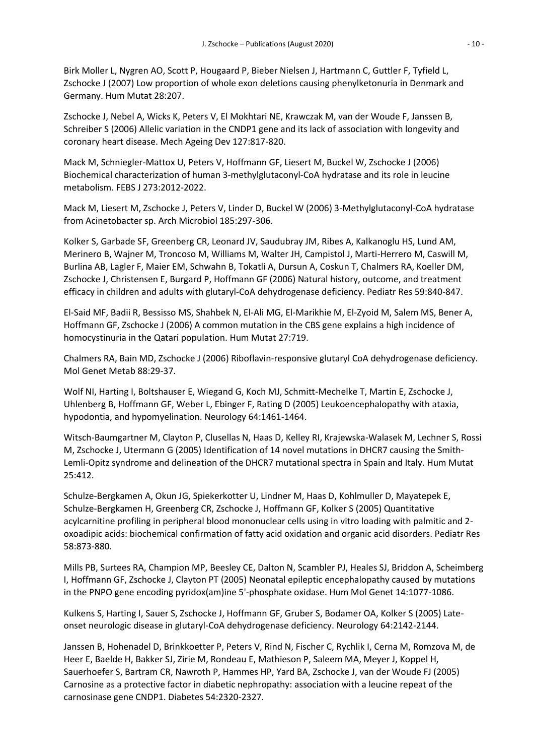Birk Moller L, Nygren AO, Scott P, Hougaard P, Bieber Nielsen J, Hartmann C, Guttler F, Tyfield L, Zschocke J (2007) Low proportion of whole exon deletions causing phenylketonuria in Denmark and Germany. Hum Mutat 28:207.

Zschocke J, Nebel A, Wicks K, Peters V, El Mokhtari NE, Krawczak M, van der Woude F, Janssen B, Schreiber S (2006) Allelic variation in the CNDP1 gene and its lack of association with longevity and coronary heart disease. Mech Ageing Dev 127:817-820.

Mack M, Schniegler-Mattox U, Peters V, Hoffmann GF, Liesert M, Buckel W, Zschocke J (2006) Biochemical characterization of human 3-methylglutaconyl-CoA hydratase and its role in leucine metabolism. FEBS J 273:2012-2022.

Mack M, Liesert M, Zschocke J, Peters V, Linder D, Buckel W (2006) 3-Methylglutaconyl-CoA hydratase from Acinetobacter sp. Arch Microbiol 185:297-306.

Kolker S, Garbade SF, Greenberg CR, Leonard JV, Saudubray JM, Ribes A, Kalkanoglu HS, Lund AM, Merinero B, Wajner M, Troncoso M, Williams M, Walter JH, Campistol J, Marti-Herrero M, Caswill M, Burlina AB, Lagler F, Maier EM, Schwahn B, Tokatli A, Dursun A, Coskun T, Chalmers RA, Koeller DM, Zschocke J, Christensen E, Burgard P, Hoffmann GF (2006) Natural history, outcome, and treatment efficacy in children and adults with glutaryl-CoA dehydrogenase deficiency. Pediatr Res 59:840-847.

El-Said MF, Badii R, Bessisso MS, Shahbek N, El-Ali MG, El-Marikhie M, El-Zyoid M, Salem MS, Bener A, Hoffmann GF, Zschocke J (2006) A common mutation in the CBS gene explains a high incidence of homocystinuria in the Qatari population. Hum Mutat 27:719.

Chalmers RA, Bain MD, Zschocke J (2006) Riboflavin-responsive glutaryl CoA dehydrogenase deficiency. Mol Genet Metab 88:29-37.

Wolf NI, Harting I, Boltshauser E, Wiegand G, Koch MJ, Schmitt-Mechelke T, Martin E, Zschocke J, Uhlenberg B, Hoffmann GF, Weber L, Ebinger F, Rating D (2005) Leukoencephalopathy with ataxia, hypodontia, and hypomyelination. Neurology 64:1461-1464.

Witsch-Baumgartner M, Clayton P, Clusellas N, Haas D, Kelley RI, Krajewska-Walasek M, Lechner S, Rossi M, Zschocke J, Utermann G (2005) Identification of 14 novel mutations in DHCR7 causing the Smith-Lemli-Opitz syndrome and delineation of the DHCR7 mutational spectra in Spain and Italy. Hum Mutat 25:412.

Schulze-Bergkamen A, Okun JG, Spiekerkotter U, Lindner M, Haas D, Kohlmuller D, Mayatepek E, Schulze-Bergkamen H, Greenberg CR, Zschocke J, Hoffmann GF, Kolker S (2005) Quantitative acylcarnitine profiling in peripheral blood mononuclear cells using in vitro loading with palmitic and 2 oxoadipic acids: biochemical confirmation of fatty acid oxidation and organic acid disorders. Pediatr Res 58:873-880.

Mills PB, Surtees RA, Champion MP, Beesley CE, Dalton N, Scambler PJ, Heales SJ, Briddon A, Scheimberg I, Hoffmann GF, Zschocke J, Clayton PT (2005) Neonatal epileptic encephalopathy caused by mutations in the PNPO gene encoding pyridox(am)ine 5'-phosphate oxidase. Hum Mol Genet 14:1077-1086.

Kulkens S, Harting I, Sauer S, Zschocke J, Hoffmann GF, Gruber S, Bodamer OA, Kolker S (2005) Lateonset neurologic disease in glutaryl-CoA dehydrogenase deficiency. Neurology 64:2142-2144.

Janssen B, Hohenadel D, Brinkkoetter P, Peters V, Rind N, Fischer C, Rychlik I, Cerna M, Romzova M, de Heer E, Baelde H, Bakker SJ, Zirie M, Rondeau E, Mathieson P, Saleem MA, Meyer J, Koppel H, Sauerhoefer S, Bartram CR, Nawroth P, Hammes HP, Yard BA, Zschocke J, van der Woude FJ (2005) Carnosine as a protective factor in diabetic nephropathy: association with a leucine repeat of the carnosinase gene CNDP1. Diabetes 54:2320-2327.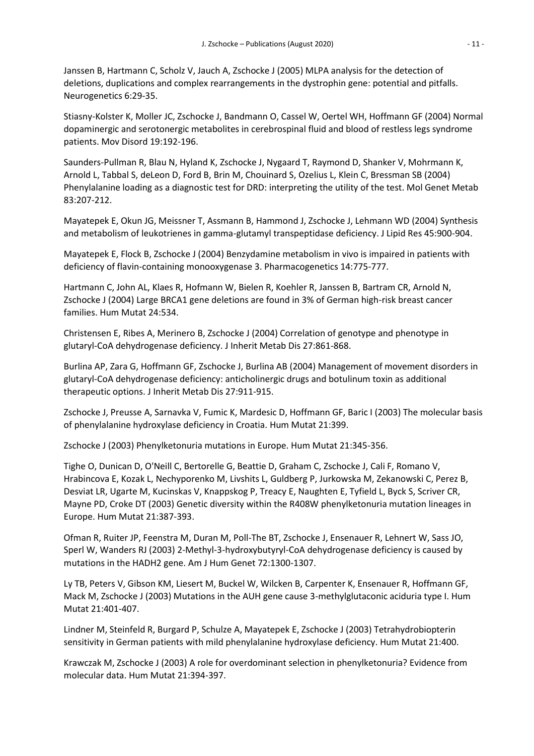Janssen B, Hartmann C, Scholz V, Jauch A, Zschocke J (2005) MLPA analysis for the detection of deletions, duplications and complex rearrangements in the dystrophin gene: potential and pitfalls. Neurogenetics 6:29-35.

Stiasny-Kolster K, Moller JC, Zschocke J, Bandmann O, Cassel W, Oertel WH, Hoffmann GF (2004) Normal dopaminergic and serotonergic metabolites in cerebrospinal fluid and blood of restless legs syndrome patients. Mov Disord 19:192-196.

Saunders-Pullman R, Blau N, Hyland K, Zschocke J, Nygaard T, Raymond D, Shanker V, Mohrmann K, Arnold L, Tabbal S, deLeon D, Ford B, Brin M, Chouinard S, Ozelius L, Klein C, Bressman SB (2004) Phenylalanine loading as a diagnostic test for DRD: interpreting the utility of the test. Mol Genet Metab 83:207-212.

Mayatepek E, Okun JG, Meissner T, Assmann B, Hammond J, Zschocke J, Lehmann WD (2004) Synthesis and metabolism of leukotrienes in gamma-glutamyl transpeptidase deficiency. J Lipid Res 45:900-904.

Mayatepek E, Flock B, Zschocke J (2004) Benzydamine metabolism in vivo is impaired in patients with deficiency of flavin-containing monooxygenase 3. Pharmacogenetics 14:775-777.

Hartmann C, John AL, Klaes R, Hofmann W, Bielen R, Koehler R, Janssen B, Bartram CR, Arnold N, Zschocke J (2004) Large BRCA1 gene deletions are found in 3% of German high-risk breast cancer families. Hum Mutat 24:534.

Christensen E, Ribes A, Merinero B, Zschocke J (2004) Correlation of genotype and phenotype in glutaryl-CoA dehydrogenase deficiency. J Inherit Metab Dis 27:861-868.

Burlina AP, Zara G, Hoffmann GF, Zschocke J, Burlina AB (2004) Management of movement disorders in glutaryl-CoA dehydrogenase deficiency: anticholinergic drugs and botulinum toxin as additional therapeutic options. J Inherit Metab Dis 27:911-915.

Zschocke J, Preusse A, Sarnavka V, Fumic K, Mardesic D, Hoffmann GF, Baric I (2003) The molecular basis of phenylalanine hydroxylase deficiency in Croatia. Hum Mutat 21:399.

Zschocke J (2003) Phenylketonuria mutations in Europe. Hum Mutat 21:345-356.

Tighe O, Dunican D, O'Neill C, Bertorelle G, Beattie D, Graham C, Zschocke J, Cali F, Romano V, Hrabincova E, Kozak L, Nechyporenko M, Livshits L, Guldberg P, Jurkowska M, Zekanowski C, Perez B, Desviat LR, Ugarte M, Kucinskas V, Knappskog P, Treacy E, Naughten E, Tyfield L, Byck S, Scriver CR, Mayne PD, Croke DT (2003) Genetic diversity within the R408W phenylketonuria mutation lineages in Europe. Hum Mutat 21:387-393.

Ofman R, Ruiter JP, Feenstra M, Duran M, Poll-The BT, Zschocke J, Ensenauer R, Lehnert W, Sass JO, Sperl W, Wanders RJ (2003) 2-Methyl-3-hydroxybutyryl-CoA dehydrogenase deficiency is caused by mutations in the HADH2 gene. Am J Hum Genet 72:1300-1307.

Ly TB, Peters V, Gibson KM, Liesert M, Buckel W, Wilcken B, Carpenter K, Ensenauer R, Hoffmann GF, Mack M, Zschocke J (2003) Mutations in the AUH gene cause 3-methylglutaconic aciduria type I. Hum Mutat 21:401-407.

Lindner M, Steinfeld R, Burgard P, Schulze A, Mayatepek E, Zschocke J (2003) Tetrahydrobiopterin sensitivity in German patients with mild phenylalanine hydroxylase deficiency. Hum Mutat 21:400.

Krawczak M, Zschocke J (2003) A role for overdominant selection in phenylketonuria? Evidence from molecular data. Hum Mutat 21:394-397.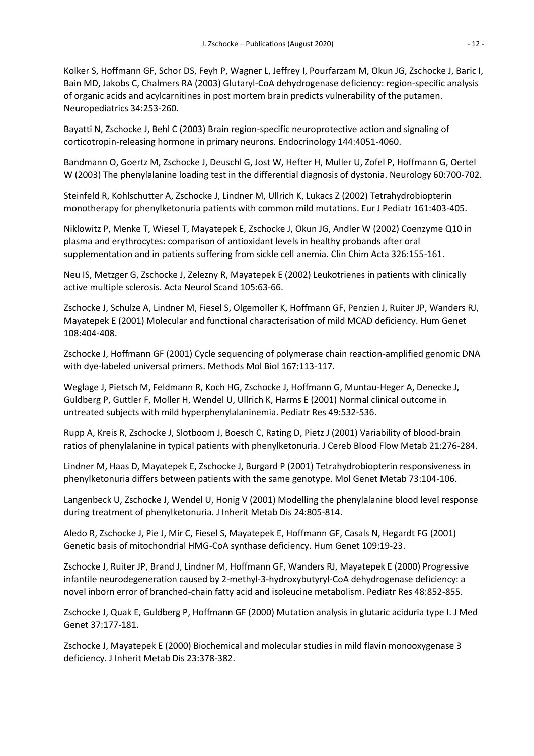Kolker S, Hoffmann GF, Schor DS, Feyh P, Wagner L, Jeffrey I, Pourfarzam M, Okun JG, Zschocke J, Baric I, Bain MD, Jakobs C, Chalmers RA (2003) Glutaryl-CoA dehydrogenase deficiency: region-specific analysis of organic acids and acylcarnitines in post mortem brain predicts vulnerability of the putamen. Neuropediatrics 34:253-260.

Bayatti N, Zschocke J, Behl C (2003) Brain region-specific neuroprotective action and signaling of corticotropin-releasing hormone in primary neurons. Endocrinology 144:4051-4060.

Bandmann O, Goertz M, Zschocke J, Deuschl G, Jost W, Hefter H, Muller U, Zofel P, Hoffmann G, Oertel W (2003) The phenylalanine loading test in the differential diagnosis of dystonia. Neurology 60:700-702.

Steinfeld R, Kohlschutter A, Zschocke J, Lindner M, Ullrich K, Lukacs Z (2002) Tetrahydrobiopterin monotherapy for phenylketonuria patients with common mild mutations. Eur J Pediatr 161:403-405.

Niklowitz P, Menke T, Wiesel T, Mayatepek E, Zschocke J, Okun JG, Andler W (2002) Coenzyme Q10 in plasma and erythrocytes: comparison of antioxidant levels in healthy probands after oral supplementation and in patients suffering from sickle cell anemia. Clin Chim Acta 326:155-161.

Neu IS, Metzger G, Zschocke J, Zelezny R, Mayatepek E (2002) Leukotrienes in patients with clinically active multiple sclerosis. Acta Neurol Scand 105:63-66.

Zschocke J, Schulze A, Lindner M, Fiesel S, Olgemoller K, Hoffmann GF, Penzien J, Ruiter JP, Wanders RJ, Mayatepek E (2001) Molecular and functional characterisation of mild MCAD deficiency. Hum Genet 108:404-408.

Zschocke J, Hoffmann GF (2001) Cycle sequencing of polymerase chain reaction-amplified genomic DNA with dye-labeled universal primers. Methods Mol Biol 167:113-117.

Weglage J, Pietsch M, Feldmann R, Koch HG, Zschocke J, Hoffmann G, Muntau-Heger A, Denecke J, Guldberg P, Guttler F, Moller H, Wendel U, Ullrich K, Harms E (2001) Normal clinical outcome in untreated subjects with mild hyperphenylalaninemia. Pediatr Res 49:532-536.

Rupp A, Kreis R, Zschocke J, Slotboom J, Boesch C, Rating D, Pietz J (2001) Variability of blood-brain ratios of phenylalanine in typical patients with phenylketonuria. J Cereb Blood Flow Metab 21:276-284.

Lindner M, Haas D, Mayatepek E, Zschocke J, Burgard P (2001) Tetrahydrobiopterin responsiveness in phenylketonuria differs between patients with the same genotype. Mol Genet Metab 73:104-106.

Langenbeck U, Zschocke J, Wendel U, Honig V (2001) Modelling the phenylalanine blood level response during treatment of phenylketonuria. J Inherit Metab Dis 24:805-814.

Aledo R, Zschocke J, Pie J, Mir C, Fiesel S, Mayatepek E, Hoffmann GF, Casals N, Hegardt FG (2001) Genetic basis of mitochondrial HMG-CoA synthase deficiency. Hum Genet 109:19-23.

Zschocke J, Ruiter JP, Brand J, Lindner M, Hoffmann GF, Wanders RJ, Mayatepek E (2000) Progressive infantile neurodegeneration caused by 2-methyl-3-hydroxybutyryl-CoA dehydrogenase deficiency: a novel inborn error of branched-chain fatty acid and isoleucine metabolism. Pediatr Res 48:852-855.

Zschocke J, Quak E, Guldberg P, Hoffmann GF (2000) Mutation analysis in glutaric aciduria type I. J Med Genet 37:177-181.

Zschocke J, Mayatepek E (2000) Biochemical and molecular studies in mild flavin monooxygenase 3 deficiency. J Inherit Metab Dis 23:378-382.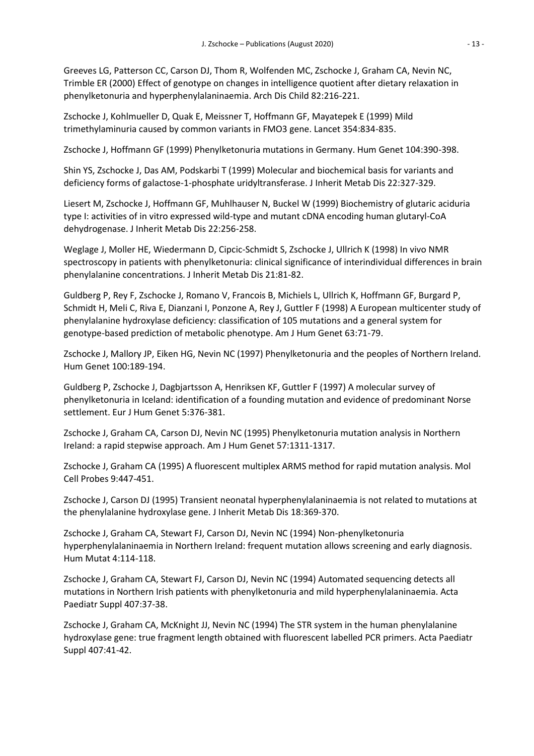Greeves LG, Patterson CC, Carson DJ, Thom R, Wolfenden MC, Zschocke J, Graham CA, Nevin NC, Trimble ER (2000) Effect of genotype on changes in intelligence quotient after dietary relaxation in phenylketonuria and hyperphenylalaninaemia. Arch Dis Child 82:216-221.

Zschocke J, Kohlmueller D, Quak E, Meissner T, Hoffmann GF, Mayatepek E (1999) Mild trimethylaminuria caused by common variants in FMO3 gene. Lancet 354:834-835.

Zschocke J, Hoffmann GF (1999) Phenylketonuria mutations in Germany. Hum Genet 104:390-398.

Shin YS, Zschocke J, Das AM, Podskarbi T (1999) Molecular and biochemical basis for variants and deficiency forms of galactose-1-phosphate uridyltransferase. J Inherit Metab Dis 22:327-329.

Liesert M, Zschocke J, Hoffmann GF, Muhlhauser N, Buckel W (1999) Biochemistry of glutaric aciduria type I: activities of in vitro expressed wild-type and mutant cDNA encoding human glutaryl-CoA dehydrogenase. J Inherit Metab Dis 22:256-258.

Weglage J, Moller HE, Wiedermann D, Cipcic-Schmidt S, Zschocke J, Ullrich K (1998) In vivo NMR spectroscopy in patients with phenylketonuria: clinical significance of interindividual differences in brain phenylalanine concentrations. J Inherit Metab Dis 21:81-82.

Guldberg P, Rey F, Zschocke J, Romano V, Francois B, Michiels L, Ullrich K, Hoffmann GF, Burgard P, Schmidt H, Meli C, Riva E, Dianzani I, Ponzone A, Rey J, Guttler F (1998) A European multicenter study of phenylalanine hydroxylase deficiency: classification of 105 mutations and a general system for genotype-based prediction of metabolic phenotype. Am J Hum Genet 63:71-79.

Zschocke J, Mallory JP, Eiken HG, Nevin NC (1997) Phenylketonuria and the peoples of Northern Ireland. Hum Genet 100:189-194.

Guldberg P, Zschocke J, Dagbjartsson A, Henriksen KF, Guttler F (1997) A molecular survey of phenylketonuria in Iceland: identification of a founding mutation and evidence of predominant Norse settlement. Eur J Hum Genet 5:376-381.

Zschocke J, Graham CA, Carson DJ, Nevin NC (1995) Phenylketonuria mutation analysis in Northern Ireland: a rapid stepwise approach. Am J Hum Genet 57:1311-1317.

Zschocke J, Graham CA (1995) A fluorescent multiplex ARMS method for rapid mutation analysis. Mol Cell Probes 9:447-451.

Zschocke J, Carson DJ (1995) Transient neonatal hyperphenylalaninaemia is not related to mutations at the phenylalanine hydroxylase gene. J Inherit Metab Dis 18:369-370.

Zschocke J, Graham CA, Stewart FJ, Carson DJ, Nevin NC (1994) Non-phenylketonuria hyperphenylalaninaemia in Northern Ireland: frequent mutation allows screening and early diagnosis. Hum Mutat 4:114-118.

Zschocke J, Graham CA, Stewart FJ, Carson DJ, Nevin NC (1994) Automated sequencing detects all mutations in Northern Irish patients with phenylketonuria and mild hyperphenylalaninaemia. Acta Paediatr Suppl 407:37-38.

Zschocke J, Graham CA, McKnight JJ, Nevin NC (1994) The STR system in the human phenylalanine hydroxylase gene: true fragment length obtained with fluorescent labelled PCR primers. Acta Paediatr Suppl 407:41-42.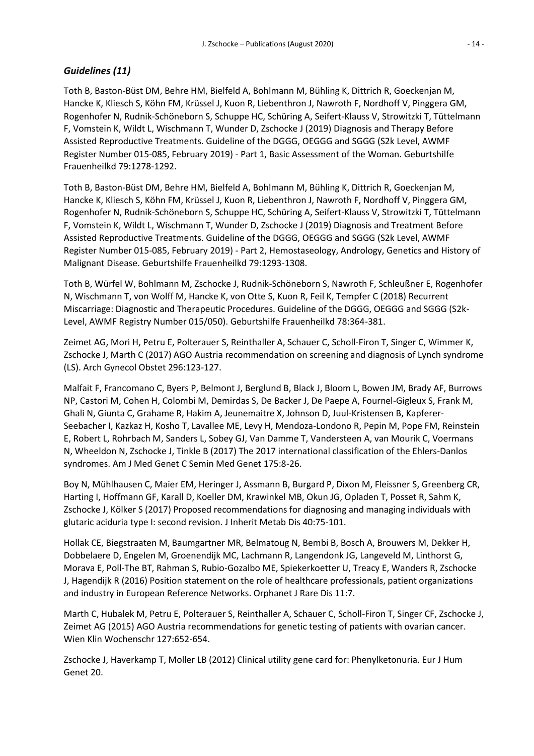### *Guidelines (11)*

Toth B, Baston-Büst DM, Behre HM, Bielfeld A, Bohlmann M, Bühling K, Dittrich R, Goeckenjan M, Hancke K, Kliesch S, Köhn FM, Krüssel J, Kuon R, Liebenthron J, Nawroth F, Nordhoff V, Pinggera GM, Rogenhofer N, Rudnik-Schöneborn S, Schuppe HC, Schüring A, Seifert-Klauss V, Strowitzki T, Tüttelmann F, Vomstein K, Wildt L, Wischmann T, Wunder D, Zschocke J (2019) Diagnosis and Therapy Before Assisted Reproductive Treatments. Guideline of the DGGG, OEGGG and SGGG (S2k Level, AWMF Register Number 015-085, February 2019) - Part 1, Basic Assessment of the Woman. Geburtshilfe Frauenheilkd 79:1278-1292.

Toth B, Baston-Büst DM, Behre HM, Bielfeld A, Bohlmann M, Bühling K, Dittrich R, Goeckenjan M, Hancke K, Kliesch S, Köhn FM, Krüssel J, Kuon R, Liebenthron J, Nawroth F, Nordhoff V, Pinggera GM, Rogenhofer N, Rudnik-Schöneborn S, Schuppe HC, Schüring A, Seifert-Klauss V, Strowitzki T, Tüttelmann F, Vomstein K, Wildt L, Wischmann T, Wunder D, Zschocke J (2019) Diagnosis and Treatment Before Assisted Reproductive Treatments. Guideline of the DGGG, OEGGG and SGGG (S2k Level, AWMF Register Number 015-085, February 2019) - Part 2, Hemostaseology, Andrology, Genetics and History of Malignant Disease. Geburtshilfe Frauenheilkd 79:1293-1308.

Toth B, Würfel W, Bohlmann M, Zschocke J, Rudnik-Schöneborn S, Nawroth F, Schleußner E, Rogenhofer N, Wischmann T, von Wolff M, Hancke K, von Otte S, Kuon R, Feil K, Tempfer C (2018) Recurrent Miscarriage: Diagnostic and Therapeutic Procedures. Guideline of the DGGG, OEGGG and SGGG (S2k-Level, AWMF Registry Number 015/050). Geburtshilfe Frauenheilkd 78:364-381.

Zeimet AG, Mori H, Petru E, Polterauer S, Reinthaller A, Schauer C, Scholl-Firon T, Singer C, Wimmer K, Zschocke J, Marth C (2017) AGO Austria recommendation on screening and diagnosis of Lynch syndrome (LS). Arch Gynecol Obstet 296:123-127.

Malfait F, Francomano C, Byers P, Belmont J, Berglund B, Black J, Bloom L, Bowen JM, Brady AF, Burrows NP, Castori M, Cohen H, Colombi M, Demirdas S, De Backer J, De Paepe A, Fournel-Gigleux S, Frank M, Ghali N, Giunta C, Grahame R, Hakim A, Jeunemaitre X, Johnson D, Juul-Kristensen B, Kapferer-Seebacher I, Kazkaz H, Kosho T, Lavallee ME, Levy H, Mendoza-Londono R, Pepin M, Pope FM, Reinstein E, Robert L, Rohrbach M, Sanders L, Sobey GJ, Van Damme T, Vandersteen A, van Mourik C, Voermans N, Wheeldon N, Zschocke J, Tinkle B (2017) The 2017 international classification of the Ehlers-Danlos syndromes. Am J Med Genet C Semin Med Genet 175:8-26.

Boy N, Mühlhausen C, Maier EM, Heringer J, Assmann B, Burgard P, Dixon M, Fleissner S, Greenberg CR, Harting I, Hoffmann GF, Karall D, Koeller DM, Krawinkel MB, Okun JG, Opladen T, Posset R, Sahm K, Zschocke J, Kölker S (2017) Proposed recommendations for diagnosing and managing individuals with glutaric aciduria type I: second revision. J Inherit Metab Dis 40:75-101.

Hollak CE, Biegstraaten M, Baumgartner MR, Belmatoug N, Bembi B, Bosch A, Brouwers M, Dekker H, Dobbelaere D, Engelen M, Groenendijk MC, Lachmann R, Langendonk JG, Langeveld M, Linthorst G, Morava E, Poll-The BT, Rahman S, Rubio-Gozalbo ME, Spiekerkoetter U, Treacy E, Wanders R, Zschocke J, Hagendijk R (2016) Position statement on the role of healthcare professionals, patient organizations and industry in European Reference Networks. Orphanet J Rare Dis 11:7.

Marth C, Hubalek M, Petru E, Polterauer S, Reinthaller A, Schauer C, Scholl-Firon T, Singer CF, Zschocke J, Zeimet AG (2015) AGO Austria recommendations for genetic testing of patients with ovarian cancer. Wien Klin Wochenschr 127:652-654.

Zschocke J, Haverkamp T, Moller LB (2012) Clinical utility gene card for: Phenylketonuria. Eur J Hum Genet 20.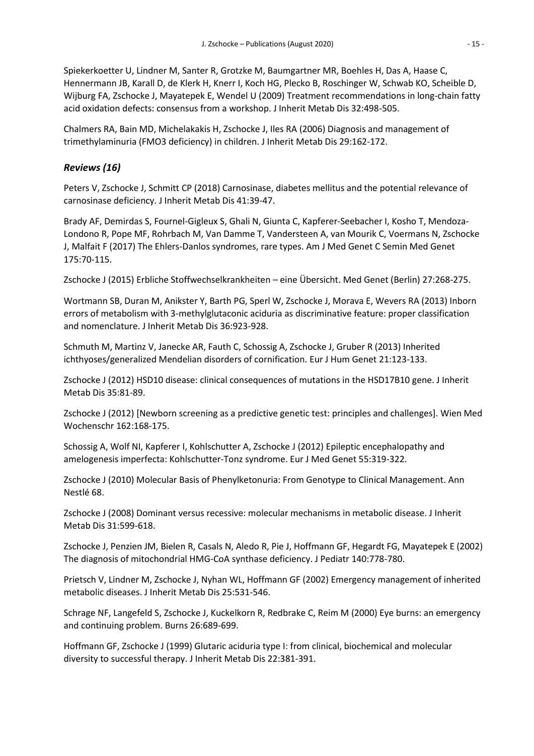Spiekerkoetter U, Lindner M, Santer R, Grotzke M, Baumgartner MR, Boehles H, Das A, Haase C, Hennermann JB, Karall D, de Klerk H, Knerr I, Koch HG, Plecko B, Roschinger W, Schwab KO, Scheible D, Wijburg FA, Zschocke J, Mayatepek E, Wendel U (2009) Treatment recommendations in long-chain fatty acid oxidation defects: consensus from a workshop. J Inherit Metab Dis 32:498-505.

Chalmers RA, Bain MD, Michelakakis H, Zschocke J, Iles RA (2006) Diagnosis and management of trimethylaminuria (FMO3 deficiency) in children. J Inherit Metab Dis 29:162-172.

#### *Reviews (16)*

Peters V, Zschocke J, Schmitt CP (2018) Carnosinase, diabetes mellitus and the potential relevance of carnosinase deficiency. J Inherit Metab Dis 41:39-47.

Brady AF, Demirdas S, Fournel-Gigleux S, Ghali N, Giunta C, Kapferer-Seebacher I, Kosho T, Mendoza-Londono R, Pope MF, Rohrbach M, Van Damme T, Vandersteen A, van Mourik C, Voermans N, Zschocke J, Malfait F (2017) The Ehlers-Danlos syndromes, rare types. Am J Med Genet C Semin Med Genet 175:70-115.

Zschocke J (2015) Erbliche Stoffwechselkrankheiten – eine Übersicht. Med Genet (Berlin) 27:268-275.

Wortmann SB, Duran M, Anikster Y, Barth PG, Sperl W, Zschocke J, Morava E, Wevers RA (2013) Inborn errors of metabolism with 3-methylglutaconic aciduria as discriminative feature: proper classification and nomenclature. J Inherit Metab Dis 36:923-928.

Schmuth M, Martinz V, Janecke AR, Fauth C, Schossig A, Zschocke J, Gruber R (2013) Inherited ichthyoses/generalized Mendelian disorders of cornification. Eur J Hum Genet 21:123-133.

Zschocke J (2012) HSD10 disease: clinical consequences of mutations in the HSD17B10 gene. J Inherit Metab Dis 35:81-89.

Zschocke J (2012) [Newborn screening as a predictive genetic test: principles and challenges]. Wien Med Wochenschr 162:168-175.

Schossig A, Wolf NI, Kapferer I, Kohlschutter A, Zschocke J (2012) Epileptic encephalopathy and amelogenesis imperfecta: Kohlschutter-Tonz syndrome. Eur J Med Genet 55:319-322.

Zschocke J (2010) Molecular Basis of Phenylketonuria: From Genotype to Clinical Management. Ann Nestlé 68.

Zschocke J (2008) Dominant versus recessive: molecular mechanisms in metabolic disease. J Inherit Metab Dis 31:599-618.

Zschocke J, Penzien JM, Bielen R, Casals N, Aledo R, Pie J, Hoffmann GF, Hegardt FG, Mayatepek E (2002) The diagnosis of mitochondrial HMG-CoA synthase deficiency. J Pediatr 140:778-780.

Prietsch V, Lindner M, Zschocke J, Nyhan WL, Hoffmann GF (2002) Emergency management of inherited metabolic diseases. J Inherit Metab Dis 25:531-546.

Schrage NF, Langefeld S, Zschocke J, Kuckelkorn R, Redbrake C, Reim M (2000) Eye burns: an emergency and continuing problem. Burns 26:689-699.

Hoffmann GF, Zschocke J (1999) Glutaric aciduria type I: from clinical, biochemical and molecular diversity to successful therapy. J Inherit Metab Dis 22:381-391.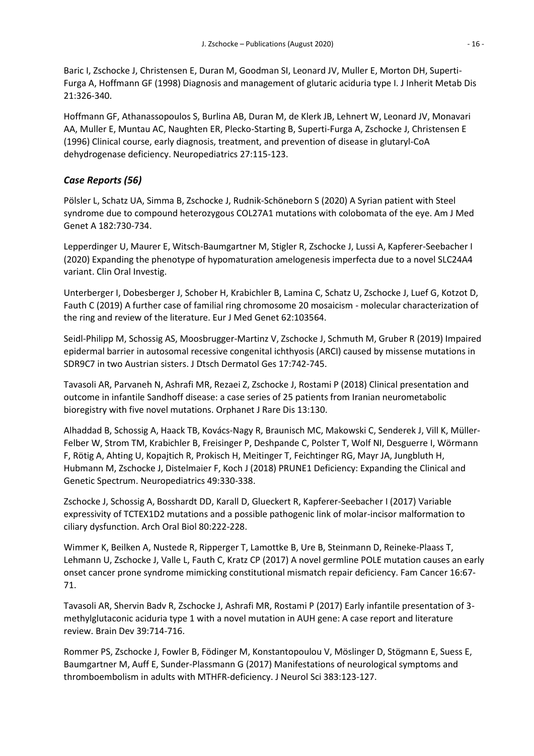Baric I, Zschocke J, Christensen E, Duran M, Goodman SI, Leonard JV, Muller E, Morton DH, Superti-Furga A, Hoffmann GF (1998) Diagnosis and management of glutaric aciduria type I. J Inherit Metab Dis 21:326-340.

Hoffmann GF, Athanassopoulos S, Burlina AB, Duran M, de Klerk JB, Lehnert W, Leonard JV, Monavari AA, Muller E, Muntau AC, Naughten ER, Plecko-Starting B, Superti-Furga A, Zschocke J, Christensen E (1996) Clinical course, early diagnosis, treatment, and prevention of disease in glutaryl-CoA dehydrogenase deficiency. Neuropediatrics 27:115-123.

# *Case Reports (56)*

Pölsler L, Schatz UA, Simma B, Zschocke J, Rudnik-Schöneborn S (2020) A Syrian patient with Steel syndrome due to compound heterozygous COL27A1 mutations with colobomata of the eye. Am J Med Genet A 182:730-734.

Lepperdinger U, Maurer E, Witsch-Baumgartner M, Stigler R, Zschocke J, Lussi A, Kapferer-Seebacher I (2020) Expanding the phenotype of hypomaturation amelogenesis imperfecta due to a novel SLC24A4 variant. Clin Oral Investig.

Unterberger I, Dobesberger J, Schober H, Krabichler B, Lamina C, Schatz U, Zschocke J, Luef G, Kotzot D, Fauth C (2019) A further case of familial ring chromosome 20 mosaicism - molecular characterization of the ring and review of the literature. Eur J Med Genet 62:103564.

Seidl-Philipp M, Schossig AS, Moosbrugger-Martinz V, Zschocke J, Schmuth M, Gruber R (2019) Impaired epidermal barrier in autosomal recessive congenital ichthyosis (ARCI) caused by missense mutations in SDR9C7 in two Austrian sisters. J Dtsch Dermatol Ges 17:742-745.

Tavasoli AR, Parvaneh N, Ashrafi MR, Rezaei Z, Zschocke J, Rostami P (2018) Clinical presentation and outcome in infantile Sandhoff disease: a case series of 25 patients from Iranian neurometabolic bioregistry with five novel mutations. Orphanet J Rare Dis 13:130.

Alhaddad B, Schossig A, Haack TB, Kovács-Nagy R, Braunisch MC, Makowski C, Senderek J, Vill K, Müller-Felber W, Strom TM, Krabichler B, Freisinger P, Deshpande C, Polster T, Wolf NI, Desguerre I, Wörmann F, Rötig A, Ahting U, Kopajtich R, Prokisch H, Meitinger T, Feichtinger RG, Mayr JA, Jungbluth H, Hubmann M, Zschocke J, Distelmaier F, Koch J (2018) PRUNE1 Deficiency: Expanding the Clinical and Genetic Spectrum. Neuropediatrics 49:330-338.

Zschocke J, Schossig A, Bosshardt DD, Karall D, Glueckert R, Kapferer-Seebacher I (2017) Variable expressivity of TCTEX1D2 mutations and a possible pathogenic link of molar-incisor malformation to ciliary dysfunction. Arch Oral Biol 80:222-228.

Wimmer K, Beilken A, Nustede R, Ripperger T, Lamottke B, Ure B, Steinmann D, Reineke-Plaass T, Lehmann U, Zschocke J, Valle L, Fauth C, Kratz CP (2017) A novel germline POLE mutation causes an early onset cancer prone syndrome mimicking constitutional mismatch repair deficiency. Fam Cancer 16:67- 71.

Tavasoli AR, Shervin Badv R, Zschocke J, Ashrafi MR, Rostami P (2017) Early infantile presentation of 3 methylglutaconic aciduria type 1 with a novel mutation in AUH gene: A case report and literature review. Brain Dev 39:714-716.

Rommer PS, Zschocke J, Fowler B, Födinger M, Konstantopoulou V, Möslinger D, Stögmann E, Suess E, Baumgartner M, Auff E, Sunder-Plassmann G (2017) Manifestations of neurological symptoms and thromboembolism in adults with MTHFR-deficiency. J Neurol Sci 383:123-127.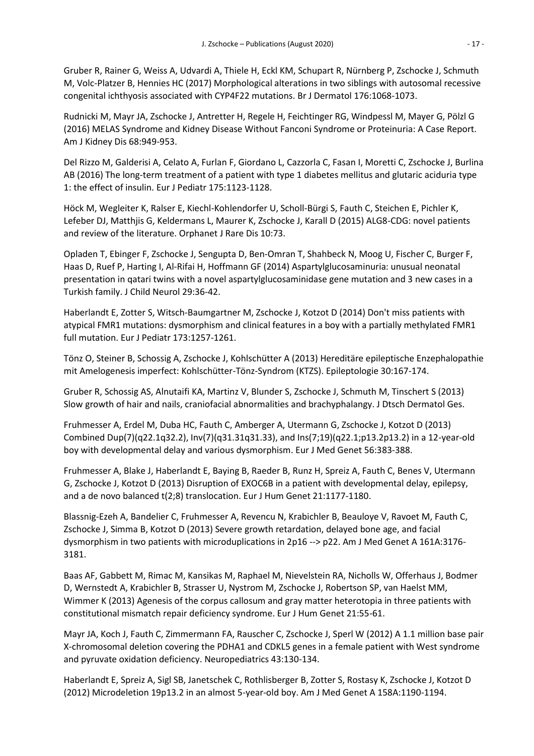Gruber R, Rainer G, Weiss A, Udvardi A, Thiele H, Eckl KM, Schupart R, Nürnberg P, Zschocke J, Schmuth M, Volc-Platzer B, Hennies HC (2017) Morphological alterations in two siblings with autosomal recessive congenital ichthyosis associated with CYP4F22 mutations. Br J Dermatol 176:1068-1073.

Rudnicki M, Mayr JA, Zschocke J, Antretter H, Regele H, Feichtinger RG, Windpessl M, Mayer G, Pölzl G (2016) MELAS Syndrome and Kidney Disease Without Fanconi Syndrome or Proteinuria: A Case Report. Am J Kidney Dis 68:949-953.

Del Rizzo M, Galderisi A, Celato A, Furlan F, Giordano L, Cazzorla C, Fasan I, Moretti C, Zschocke J, Burlina AB (2016) The long-term treatment of a patient with type 1 diabetes mellitus and glutaric aciduria type 1: the effect of insulin. Eur J Pediatr 175:1123-1128.

Höck M, Wegleiter K, Ralser E, Kiechl-Kohlendorfer U, Scholl-Bürgi S, Fauth C, Steichen E, Pichler K, Lefeber DJ, Matthjis G, Keldermans L, Maurer K, Zschocke J, Karall D (2015) ALG8-CDG: novel patients and review of the literature. Orphanet J Rare Dis 10:73.

Opladen T, Ebinger F, Zschocke J, Sengupta D, Ben-Omran T, Shahbeck N, Moog U, Fischer C, Burger F, Haas D, Ruef P, Harting I, Al-Rifai H, Hoffmann GF (2014) Aspartylglucosaminuria: unusual neonatal presentation in qatari twins with a novel aspartylglucosaminidase gene mutation and 3 new cases in a Turkish family. J Child Neurol 29:36-42.

Haberlandt E, Zotter S, Witsch-Baumgartner M, Zschocke J, Kotzot D (2014) Don't miss patients with atypical FMR1 mutations: dysmorphism and clinical features in a boy with a partially methylated FMR1 full mutation. Eur J Pediatr 173:1257-1261.

Tönz O, Steiner B, Schossig A, Zschocke J, Kohlschütter A (2013) Hereditäre epileptische Enzephalopathie mit Amelogenesis imperfect: Kohlschütter-Tönz-Syndrom (KTZS). Epileptologie 30:167-174.

Gruber R, Schossig AS, Alnutaifi KA, Martinz V, Blunder S, Zschocke J, Schmuth M, Tinschert S (2013) Slow growth of hair and nails, craniofacial abnormalities and brachyphalangy. J Dtsch Dermatol Ges.

Fruhmesser A, Erdel M, Duba HC, Fauth C, Amberger A, Utermann G, Zschocke J, Kotzot D (2013) Combined Dup(7)(q22.1q32.2), Inv(7)(q31.31q31.33), and Ins(7;19)(q22.1;p13.2p13.2) in a 12-year-old boy with developmental delay and various dysmorphism. Eur J Med Genet 56:383-388.

Fruhmesser A, Blake J, Haberlandt E, Baying B, Raeder B, Runz H, Spreiz A, Fauth C, Benes V, Utermann G, Zschocke J, Kotzot D (2013) Disruption of EXOC6B in a patient with developmental delay, epilepsy, and a de novo balanced t(2;8) translocation. Eur J Hum Genet 21:1177-1180.

Blassnig-Ezeh A, Bandelier C, Fruhmesser A, Revencu N, Krabichler B, Beauloye V, Ravoet M, Fauth C, Zschocke J, Simma B, Kotzot D (2013) Severe growth retardation, delayed bone age, and facial dysmorphism in two patients with microduplications in 2p16 --> p22. Am J Med Genet A 161A:3176- 3181.

Baas AF, Gabbett M, Rimac M, Kansikas M, Raphael M, Nievelstein RA, Nicholls W, Offerhaus J, Bodmer D, Wernstedt A, Krabichler B, Strasser U, Nystrom M, Zschocke J, Robertson SP, van Haelst MM, Wimmer K (2013) Agenesis of the corpus callosum and gray matter heterotopia in three patients with constitutional mismatch repair deficiency syndrome. Eur J Hum Genet 21:55-61.

Mayr JA, Koch J, Fauth C, Zimmermann FA, Rauscher C, Zschocke J, Sperl W (2012) A 1.1 million base pair X-chromosomal deletion covering the PDHA1 and CDKL5 genes in a female patient with West syndrome and pyruvate oxidation deficiency. Neuropediatrics 43:130-134.

Haberlandt E, Spreiz A, Sigl SB, Janetschek C, Rothlisberger B, Zotter S, Rostasy K, Zschocke J, Kotzot D (2012) Microdeletion 19p13.2 in an almost 5-year-old boy. Am J Med Genet A 158A:1190-1194.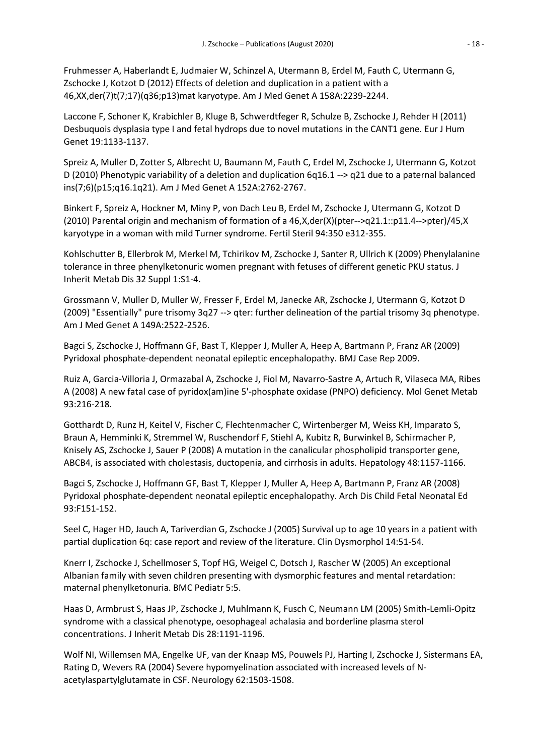Fruhmesser A, Haberlandt E, Judmaier W, Schinzel A, Utermann B, Erdel M, Fauth C, Utermann G, Zschocke J, Kotzot D (2012) Effects of deletion and duplication in a patient with a 46,XX,der(7)t(7;17)(q36;p13)mat karyotype. Am J Med Genet A 158A:2239-2244.

Laccone F, Schoner K, Krabichler B, Kluge B, Schwerdtfeger R, Schulze B, Zschocke J, Rehder H (2011) Desbuquois dysplasia type I and fetal hydrops due to novel mutations in the CANT1 gene. Eur J Hum Genet 19:1133-1137.

Spreiz A, Muller D, Zotter S, Albrecht U, Baumann M, Fauth C, Erdel M, Zschocke J, Utermann G, Kotzot D (2010) Phenotypic variability of a deletion and duplication 6q16.1 --> q21 due to a paternal balanced ins(7;6)(p15;q16.1q21). Am J Med Genet A 152A:2762-2767.

Binkert F, Spreiz A, Hockner M, Miny P, von Dach Leu B, Erdel M, Zschocke J, Utermann G, Kotzot D (2010) Parental origin and mechanism of formation of a 46,X,der(X)(pter-->q21.1::p11.4-->pter)/45,X karyotype in a woman with mild Turner syndrome. Fertil Steril 94:350 e312-355.

Kohlschutter B, Ellerbrok M, Merkel M, Tchirikov M, Zschocke J, Santer R, Ullrich K (2009) Phenylalanine tolerance in three phenylketonuric women pregnant with fetuses of different genetic PKU status. J Inherit Metab Dis 32 Suppl 1:S1-4.

Grossmann V, Muller D, Muller W, Fresser F, Erdel M, Janecke AR, Zschocke J, Utermann G, Kotzot D (2009) "Essentially" pure trisomy 3q27 --> qter: further delineation of the partial trisomy 3q phenotype. Am J Med Genet A 149A:2522-2526.

Bagci S, Zschocke J, Hoffmann GF, Bast T, Klepper J, Muller A, Heep A, Bartmann P, Franz AR (2009) Pyridoxal phosphate-dependent neonatal epileptic encephalopathy. BMJ Case Rep 2009.

Ruiz A, Garcia-Villoria J, Ormazabal A, Zschocke J, Fiol M, Navarro-Sastre A, Artuch R, Vilaseca MA, Ribes A (2008) A new fatal case of pyridox(am)ine 5'-phosphate oxidase (PNPO) deficiency. Mol Genet Metab 93:216-218.

Gotthardt D, Runz H, Keitel V, Fischer C, Flechtenmacher C, Wirtenberger M, Weiss KH, Imparato S, Braun A, Hemminki K, Stremmel W, Ruschendorf F, Stiehl A, Kubitz R, Burwinkel B, Schirmacher P, Knisely AS, Zschocke J, Sauer P (2008) A mutation in the canalicular phospholipid transporter gene, ABCB4, is associated with cholestasis, ductopenia, and cirrhosis in adults. Hepatology 48:1157-1166.

Bagci S, Zschocke J, Hoffmann GF, Bast T, Klepper J, Muller A, Heep A, Bartmann P, Franz AR (2008) Pyridoxal phosphate-dependent neonatal epileptic encephalopathy. Arch Dis Child Fetal Neonatal Ed 93:F151-152.

Seel C, Hager HD, Jauch A, Tariverdian G, Zschocke J (2005) Survival up to age 10 years in a patient with partial duplication 6q: case report and review of the literature. Clin Dysmorphol 14:51-54.

Knerr I, Zschocke J, Schellmoser S, Topf HG, Weigel C, Dotsch J, Rascher W (2005) An exceptional Albanian family with seven children presenting with dysmorphic features and mental retardation: maternal phenylketonuria. BMC Pediatr 5:5.

Haas D, Armbrust S, Haas JP, Zschocke J, Muhlmann K, Fusch C, Neumann LM (2005) Smith-Lemli-Opitz syndrome with a classical phenotype, oesophageal achalasia and borderline plasma sterol concentrations. J Inherit Metab Dis 28:1191-1196.

Wolf NI, Willemsen MA, Engelke UF, van der Knaap MS, Pouwels PJ, Harting I, Zschocke J, Sistermans EA, Rating D, Wevers RA (2004) Severe hypomyelination associated with increased levels of Nacetylaspartylglutamate in CSF. Neurology 62:1503-1508.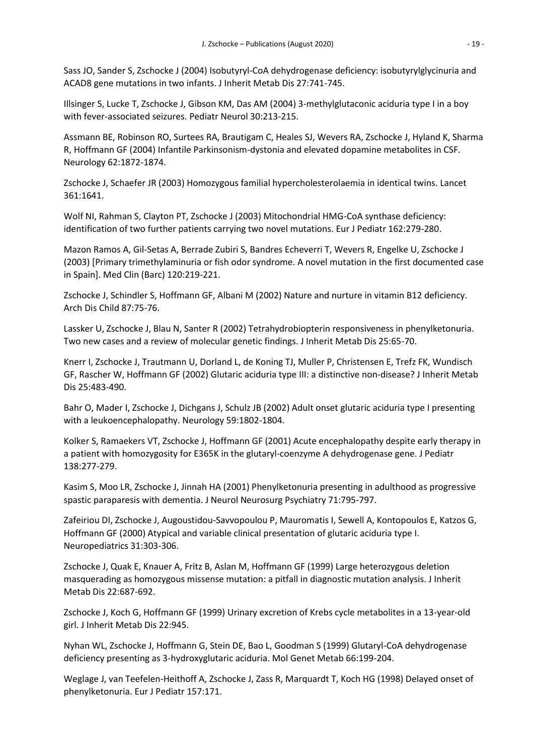Sass JO, Sander S, Zschocke J (2004) Isobutyryl-CoA dehydrogenase deficiency: isobutyrylglycinuria and ACAD8 gene mutations in two infants. J Inherit Metab Dis 27:741-745.

Illsinger S, Lucke T, Zschocke J, Gibson KM, Das AM (2004) 3-methylglutaconic aciduria type I in a boy with fever-associated seizures. Pediatr Neurol 30:213-215.

Assmann BE, Robinson RO, Surtees RA, Brautigam C, Heales SJ, Wevers RA, Zschocke J, Hyland K, Sharma R, Hoffmann GF (2004) Infantile Parkinsonism-dystonia and elevated dopamine metabolites in CSF. Neurology 62:1872-1874.

Zschocke J, Schaefer JR (2003) Homozygous familial hypercholesterolaemia in identical twins. Lancet 361:1641.

Wolf NI, Rahman S, Clayton PT, Zschocke J (2003) Mitochondrial HMG-CoA synthase deficiency: identification of two further patients carrying two novel mutations. Eur J Pediatr 162:279-280.

Mazon Ramos A, Gil-Setas A, Berrade Zubiri S, Bandres Echeverri T, Wevers R, Engelke U, Zschocke J (2003) [Primary trimethylaminuria or fish odor syndrome. A novel mutation in the first documented case in Spain]. Med Clin (Barc) 120:219-221.

Zschocke J, Schindler S, Hoffmann GF, Albani M (2002) Nature and nurture in vitamin B12 deficiency. Arch Dis Child 87:75-76.

Lassker U, Zschocke J, Blau N, Santer R (2002) Tetrahydrobiopterin responsiveness in phenylketonuria. Two new cases and a review of molecular genetic findings. J Inherit Metab Dis 25:65-70.

Knerr I, Zschocke J, Trautmann U, Dorland L, de Koning TJ, Muller P, Christensen E, Trefz FK, Wundisch GF, Rascher W, Hoffmann GF (2002) Glutaric aciduria type III: a distinctive non-disease? J Inherit Metab Dis 25:483-490.

Bahr O, Mader I, Zschocke J, Dichgans J, Schulz JB (2002) Adult onset glutaric aciduria type I presenting with a leukoencephalopathy. Neurology 59:1802-1804.

Kolker S, Ramaekers VT, Zschocke J, Hoffmann GF (2001) Acute encephalopathy despite early therapy in a patient with homozygosity for E365K in the glutaryl-coenzyme A dehydrogenase gene. J Pediatr 138:277-279.

Kasim S, Moo LR, Zschocke J, Jinnah HA (2001) Phenylketonuria presenting in adulthood as progressive spastic paraparesis with dementia. J Neurol Neurosurg Psychiatry 71:795-797.

Zafeiriou DI, Zschocke J, Augoustidou-Savvopoulou P, Mauromatis I, Sewell A, Kontopoulos E, Katzos G, Hoffmann GF (2000) Atypical and variable clinical presentation of glutaric aciduria type I. Neuropediatrics 31:303-306.

Zschocke J, Quak E, Knauer A, Fritz B, Aslan M, Hoffmann GF (1999) Large heterozygous deletion masquerading as homozygous missense mutation: a pitfall in diagnostic mutation analysis. J Inherit Metab Dis 22:687-692.

Zschocke J, Koch G, Hoffmann GF (1999) Urinary excretion of Krebs cycle metabolites in a 13-year-old girl. J Inherit Metab Dis 22:945.

Nyhan WL, Zschocke J, Hoffmann G, Stein DE, Bao L, Goodman S (1999) Glutaryl-CoA dehydrogenase deficiency presenting as 3-hydroxyglutaric aciduria. Mol Genet Metab 66:199-204.

Weglage J, van Teefelen-Heithoff A, Zschocke J, Zass R, Marquardt T, Koch HG (1998) Delayed onset of phenylketonuria. Eur J Pediatr 157:171.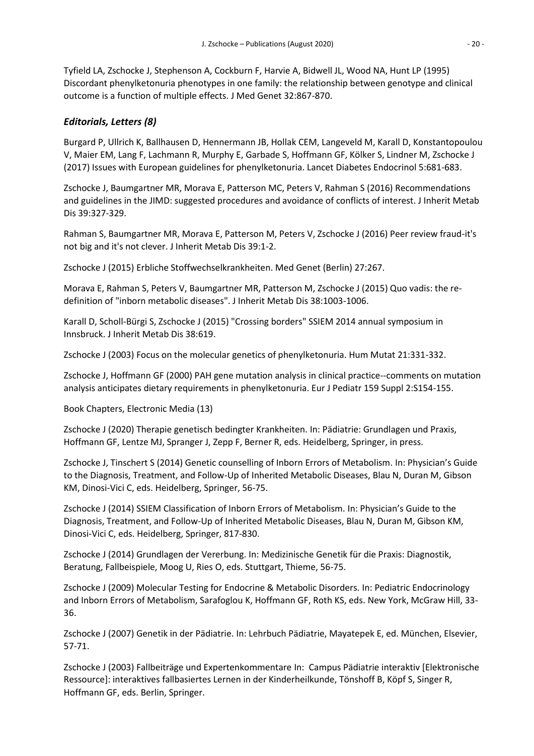Tyfield LA, Zschocke J, Stephenson A, Cockburn F, Harvie A, Bidwell JL, Wood NA, Hunt LP (1995) Discordant phenylketonuria phenotypes in one family: the relationship between genotype and clinical outcome is a function of multiple effects. J Med Genet 32:867-870.

### *Editorials, Letters (8)*

Burgard P, Ullrich K, Ballhausen D, Hennermann JB, Hollak CEM, Langeveld M, Karall D, Konstantopoulou V, Maier EM, Lang F, Lachmann R, Murphy E, Garbade S, Hoffmann GF, Kölker S, Lindner M, Zschocke J (2017) Issues with European guidelines for phenylketonuria. Lancet Diabetes Endocrinol 5:681-683.

Zschocke J, Baumgartner MR, Morava E, Patterson MC, Peters V, Rahman S (2016) Recommendations and guidelines in the JIMD: suggested procedures and avoidance of conflicts of interest. J Inherit Metab Dis 39:327-329.

Rahman S, Baumgartner MR, Morava E, Patterson M, Peters V, Zschocke J (2016) Peer review fraud-it's not big and it's not clever. J Inherit Metab Dis 39:1-2.

Zschocke J (2015) Erbliche Stoffwechselkrankheiten. Med Genet (Berlin) 27:267.

Morava E, Rahman S, Peters V, Baumgartner MR, Patterson M, Zschocke J (2015) Quo vadis: the redefinition of "inborn metabolic diseases". J Inherit Metab Dis 38:1003-1006.

Karall D, Scholl-Bürgi S, Zschocke J (2015) "Crossing borders" SSIEM 2014 annual symposium in Innsbruck. J Inherit Metab Dis 38:619.

Zschocke J (2003) Focus on the molecular genetics of phenylketonuria. Hum Mutat 21:331-332.

Zschocke J, Hoffmann GF (2000) PAH gene mutation analysis in clinical practice--comments on mutation analysis anticipates dietary requirements in phenylketonuria. Eur J Pediatr 159 Suppl 2:S154-155.

Book Chapters, Electronic Media (13)

Zschocke J (2020) Therapie genetisch bedingter Krankheiten. In: Pädiatrie: Grundlagen und Praxis, Hoffmann GF, Lentze MJ, Spranger J, Zepp F, Berner R, eds. Heidelberg, Springer, in press.

Zschocke J, Tinschert S (2014) Genetic counselling of Inborn Errors of Metabolism. In: Physician's Guide to the Diagnosis, Treatment, and Follow-Up of Inherited Metabolic Diseases, Blau N, Duran M, Gibson KM, Dinosi-Vici C, eds. Heidelberg, Springer, 56-75.

Zschocke J (2014) SSIEM Classification of Inborn Errors of Metabolism. In: Physician's Guide to the Diagnosis, Treatment, and Follow-Up of Inherited Metabolic Diseases, Blau N, Duran M, Gibson KM, Dinosi-Vici C, eds. Heidelberg, Springer, 817-830.

Zschocke J (2014) Grundlagen der Vererbung. In: Medizinische Genetik für die Praxis: Diagnostik, Beratung, Fallbeispiele, Moog U, Ries O, eds. Stuttgart, Thieme, 56-75.

Zschocke J (2009) Molecular Testing for Endocrine & Metabolic Disorders. In: Pediatric Endocrinology and Inborn Errors of Metabolism, Sarafoglou K, Hoffmann GF, Roth KS, eds. New York, McGraw Hill, 33- 36.

Zschocke J (2007) Genetik in der Pädiatrie. In: Lehrbuch Pädiatrie, Mayatepek E, ed. München, Elsevier, 57-71.

Zschocke J (2003) Fallbeiträge und Expertenkommentare In: Campus Pädiatrie interaktiv [Elektronische Ressource]: interaktives fallbasiertes Lernen in der Kinderheilkunde, Tönshoff B, Köpf S, Singer R, Hoffmann GF, eds. Berlin, Springer.